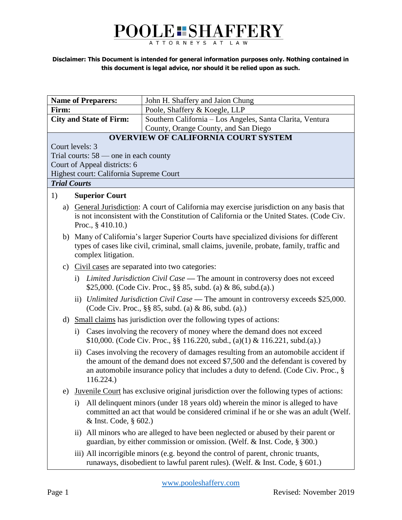# POOLE: SHAFFERY

#### **Disclaimer: This Document is intended for general information purposes only. Nothing contained in this document is legal advice, nor should it be relied upon as such.**

| <b>Name of Preparers:</b>                                     |                                                                                                                                                                                                               | John H. Shaffery and Jaion Chung                                                                                                                                                                                                                               |  |
|---------------------------------------------------------------|---------------------------------------------------------------------------------------------------------------------------------------------------------------------------------------------------------------|----------------------------------------------------------------------------------------------------------------------------------------------------------------------------------------------------------------------------------------------------------------|--|
| Firm:                                                         |                                                                                                                                                                                                               | Poole, Shaffery & Koegle, LLP                                                                                                                                                                                                                                  |  |
| <b>City and State of Firm:</b>                                |                                                                                                                                                                                                               | Southern California - Los Angeles, Santa Clarita, Ventura                                                                                                                                                                                                      |  |
| County, Orange County, and San Diego                          |                                                                                                                                                                                                               |                                                                                                                                                                                                                                                                |  |
| <b>OVERVIEW OF CALIFORNIA COURT SYSTEM</b><br>Court levels: 3 |                                                                                                                                                                                                               |                                                                                                                                                                                                                                                                |  |
| Trial courts: $58$ — one in each county                       |                                                                                                                                                                                                               |                                                                                                                                                                                                                                                                |  |
| Court of Appeal districts: 6                                  |                                                                                                                                                                                                               |                                                                                                                                                                                                                                                                |  |
| Highest court: California Supreme Court                       |                                                                                                                                                                                                               |                                                                                                                                                                                                                                                                |  |
| <b>Trial Courts</b>                                           |                                                                                                                                                                                                               |                                                                                                                                                                                                                                                                |  |
| 1)                                                            | <b>Superior Court</b>                                                                                                                                                                                         |                                                                                                                                                                                                                                                                |  |
|                                                               | a) General Jurisdiction: A court of California may exercise jurisdiction on any basis that<br>is not inconsistent with the Constitution of California or the United States. (Code Civ.<br>Proc., $§$ 410.10.) |                                                                                                                                                                                                                                                                |  |
|                                                               | b) Many of California's larger Superior Courts have specialized divisions for different<br>types of cases like civil, criminal, small claims, juvenile, probate, family, traffic and<br>complex litigation.   |                                                                                                                                                                                                                                                                |  |
|                                                               |                                                                                                                                                                                                               | c) Civil cases are separated into two categories:                                                                                                                                                                                                              |  |
|                                                               |                                                                                                                                                                                                               | i) Limited Jurisdiction Civil Case — The amount in controversy does not exceed<br>\$25,000. (Code Civ. Proc., §§ 85, subd. (a) & 86, subd. (a).)                                                                                                               |  |
|                                                               |                                                                                                                                                                                                               | ii) Unlimited Jurisdiction Civil Case — The amount in controversy exceeds \$25,000.<br>(Code Civ. Proc., §§ 85, subd. (a) & 86, subd. (a).)                                                                                                                    |  |
|                                                               | d) Small claims has jurisdiction over the following types of actions:                                                                                                                                         |                                                                                                                                                                                                                                                                |  |
|                                                               | i)                                                                                                                                                                                                            | Cases involving the recovery of money where the demand does not exceed<br>\$10,000. (Code Civ. Proc., §§ 116.220, subd., (a)(1) & 116.221, subd.(a).)                                                                                                          |  |
|                                                               | 116.224.)                                                                                                                                                                                                     | ii) Cases involving the recovery of damages resulting from an automobile accident if<br>the amount of the demand does not exceed \$7,500 and the defendant is covered by<br>an automobile insurance policy that includes a duty to defend. (Code Civ. Proc., § |  |
| e)                                                            |                                                                                                                                                                                                               | Juvenile Court has exclusive original jurisdiction over the following types of actions:                                                                                                                                                                        |  |
|                                                               | $\rm i)$<br>& Inst. Code, § 602.)                                                                                                                                                                             | All delinquent minors (under 18 years old) wherein the minor is alleged to have<br>committed an act that would be considered criminal if he or she was an adult (Welf.                                                                                         |  |
|                                                               |                                                                                                                                                                                                               | ii) All minors who are alleged to have been neglected or abused by their parent or<br>guardian, by either commission or omission. (Welf. & Inst. Code, § 300.)                                                                                                 |  |
|                                                               |                                                                                                                                                                                                               | iii) All incorrigible minors (e.g. beyond the control of parent, chronic truants,<br>runaways, disobedient to lawful parent rules). (Welf. & Inst. Code, § 601.)                                                                                               |  |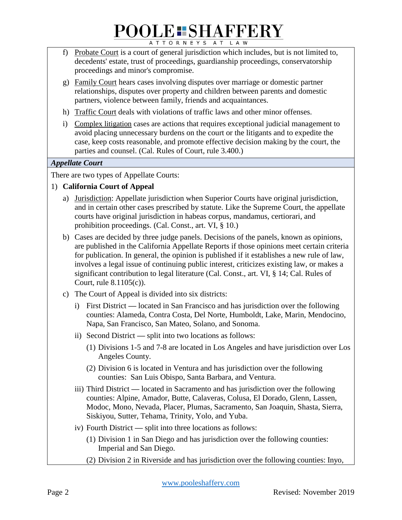- f) Probate Court is a court of general jurisdiction which includes, but is not limited to, decedents' estate, trust of proceedings, guardianship proceedings, conservatorship proceedings and minor's compromise.
- g) Family Court hears cases involving disputes over marriage or domestic partner relationships, disputes over property and children between parents and domestic partners, violence between family, friends and acquaintances.
- h) Traffic Court deals with violations of traffic laws and other minor offenses.
- i) Complex litigation cases are actions that requires exceptional judicial management to avoid placing unnecessary burdens on the court or the litigants and to expedite the case, keep costs reasonable, and promote effective decision making by the court, the parties and counsel. (Cal. Rules of Court, rule 3.400.)

#### *Appellate Court*

There are two types of Appellate Courts:

#### 1) **California Court of Appeal**

- a) Jurisdiction: Appellate jurisdiction when Superior Courts have original jurisdiction, and in certain other cases prescribed by statute. Like the Supreme Court, the appellate courts have original jurisdiction in habeas corpus, mandamus, certiorari, and prohibition proceedings. (Cal. Const., art. VI, § 10.)
- b) Cases are decided by three judge panels. Decisions of the panels, known as opinions, are published in the California Appellate Reports if those opinions meet certain criteria for publication. In general, the opinion is published if it establishes a new rule of law, involves a legal issue of continuing public interest, criticizes existing law, or makes a significant contribution to legal literature (Cal. Const., art. VI, § 14; Cal. Rules of Court, rule 8.1105(c)).
- c) The Court of Appeal is divided into six districts:
	- i) First District **—** located in San Francisco and has jurisdiction over the following counties: Alameda, Contra Costa, Del Norte, Humboldt, Lake, Marin, Mendocino, Napa, San Francisco, San Mateo, Solano, and Sonoma.
	- ii) Second District **—** split into two locations as follows:
		- (1) Divisions 1-5 and 7-8 are located in Los Angeles and have jurisdiction over Los Angeles County.
		- (2) Division 6 is located in Ventura and has jurisdiction over the following counties: San Luis Obispo, Santa Barbara, and Ventura.
	- iii) Third District **—** located in Sacramento and has jurisdiction over the following counties: Alpine, Amador, Butte, Calaveras, Colusa, El Dorado, Glenn, Lassen, Modoc, Mono, Nevada, Placer, Plumas, Sacramento, San Joaquin, Shasta, Sierra, Siskiyou, Sutter, Tehama, Trinity, Yolo, and Yuba.
	- iv) Fourth District **—** split into three locations as follows:
		- (1) Division 1 in San Diego and has jurisdiction over the following counties: Imperial and San Diego.
		- (2) Division 2 in Riverside and has jurisdiction over the following counties: Inyo,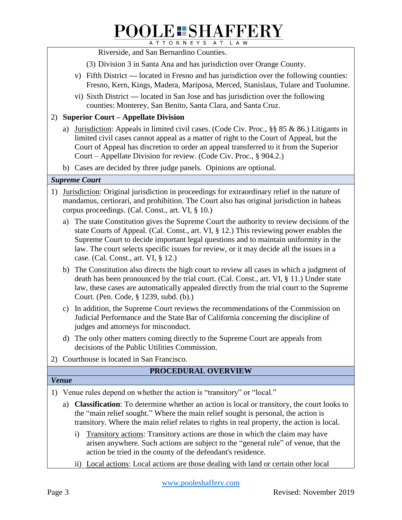Riverside, and San Bernardino Counties.

- (3) Division 3 in Santa Ana and has jurisdiction over Orange County.
- v) Fifth District **—** located in Fresno and has jurisdiction over the following counties: Fresno, Kern, Kings, Madera, Mariposa, Merced, Stanislaus, Tulare and Tuolumne.
- vi) Sixth District **—** located in San Jose and has jurisdiction over the following counties: Monterey, San Benito, Santa Clara, and Santa Cruz.

#### 2) **Superior Court – Appellate Division**

- a) Jurisdiction: Appeals in limited civil cases. (Code Civ. Proc., §§ 85 & 86.) Litigants in limited civil cases cannot appeal as a matter of right to the Court of Appeal, but the Court of Appeal has discretion to order an appeal transferred to it from the Superior Court – Appellate Division for review. (Code Civ. Proc., § 904.2.)
- b) Cases are decided by three judge panels. Opinions are optional.

#### *Supreme Court*

- 1) Jurisdiction: Original jurisdiction in proceedings for extraordinary relief in the nature of mandamus, certiorari, and prohibition. The Court also has original jurisdiction in habeas corpus proceedings. (Cal. Const., art. VI, § 10.)
	- a) The state Constitution gives the Supreme Court the authority to review decisions of the state Courts of Appeal. (Cal. Const., art. VI, § 12.) This reviewing power enables the Supreme Court to decide important legal questions and to maintain uniformity in the law. The court selects specific issues for review, or it may decide all the issues in a case. (Cal. Const., art. VI, § 12.)
	- b) The Constitution also directs the high court to review all cases in which a judgment of death has been pronounced by the trial court. (Cal. Const., art. VI, § 11.) Under state law, these cases are automatically appealed directly from the trial court to the Supreme Court. (Pen. Code, § 1239, subd. (b).)
	- c) In addition, the Supreme Court reviews the recommendations of the Commission on Judicial Performance and the State Bar of California concerning the discipline of judges and attorneys for misconduct.
	- d) The only other matters coming directly to the Supreme Court are appeals from decisions of the Public Utilities Commission.
- 2) Courthouse is located in San Francisco.

#### **PROCEDURAL OVERVIEW**

#### *Venue*

1) Venue rules depend on whether the action is "transitory" or "local."

- a) **Classification**: To determine whether an action is local or transitory, the court looks to the "main relief sought." Where the main relief sought is personal, the action is transitory. Where the main relief relates to rights in real property, the action is local.
	- i) Transitory actions: Transitory actions are those in which the claim may have arisen anywhere. Such actions are subject to the "general rule" of venue, that the action be tried in the county of the defendant's residence.
	- ii) Local actions: Local actions are those dealing with land or certain other local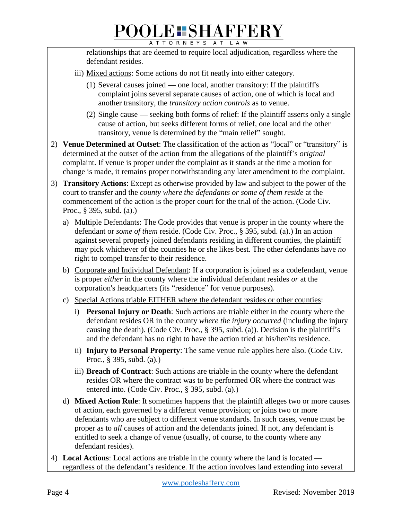relationships that are deemed to require local adjudication, regardless where the defendant resides.

- iii) Mixed actions: Some actions do not fit neatly into either category.
	- (1) Several causes joined **—** one local, another transitory: If the plaintiff's complaint joins several separate causes of action, one of which is local and another transitory, the *transitory action controls* as to venue.
	- (2) Single cause **—** seeking both forms of relief: If the plaintiff asserts only a single cause of action, but seeks different forms of relief, one local and the other transitory, venue is determined by the "main relief" sought.
- 2) **Venue Determined at Outset**: The classification of the action as "local" or "transitory" is determined at the outset of the action from the allegations of the plaintiff's *original*  complaint. If venue is proper under the complaint as it stands at the time a motion for change is made, it remains proper notwithstanding any later amendment to the complaint.
- 3) **Transitory Actions**: Except as otherwise provided by law and subject to the power of the court to transfer and the *county where the defendants or some of them reside* at the commencement of the action is the proper court for the trial of the action. (Code Civ. Proc., § 395, subd. (a).)
	- a) Multiple Defendants: The Code provides that venue is proper in the county where the defendant or *some of them* reside. (Code Civ. Proc., § 395, subd. (a).) In an action against several properly joined defendants residing in different counties, the plaintiff may pick whichever of the counties he or she likes best. The other defendants have *no*  right to compel transfer to their residence.
	- b) Corporate and Individual Defendant: If a corporation is joined as a codefendant, venue is proper *either* in the county where the individual defendant resides *or* at the corporation's headquarters (its "residence" for venue purposes).
	- c) Special Actions triable EITHER where the defendant resides or other counties:
		- i) **Personal Injury or Death**: Such actions are triable either in the county where the defendant resides OR in the county *where the injury occurred* (including the injury causing the death). (Code Civ. Proc., § 395, subd. (a)). Decision is the plaintiff's and the defendant has no right to have the action tried at his/her/its residence.
		- ii) **Injury to Personal Property**: The same venue rule applies here also. (Code Civ. Proc., § 395, subd. (a).)
		- iii) **Breach of Contract**: Such actions are triable in the county where the defendant resides OR where the contract was to be performed OR where the contract was entered into. (Code Civ. Proc., § 395, subd. (a).)
	- d) **Mixed Action Rule**: It sometimes happens that the plaintiff alleges two or more causes of action, each governed by a different venue provision; or joins two or more defendants who are subject to different venue standards. In such cases, venue must be proper as to *all* causes of action and the defendants joined. If not, any defendant is entitled to seek a change of venue (usually, of course, to the county where any defendant resides).
- 4) **Local Actions**: Local actions are triable in the county where the land is located regardless of the defendant's residence. If the action involves land extending into several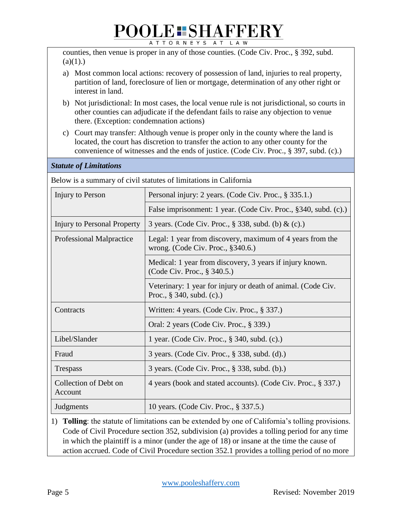# POOLE SHAFFERY

counties, then venue is proper in any of those counties. (Code Civ. Proc., § 392, subd.  $(a)(1)$ .)

- a) Most common local actions: recovery of possession of land, injuries to real property, partition of land, foreclosure of lien or mortgage, determination of any other right or interest in land.
- b) Not jurisdictional: In most cases, the local venue rule is not jurisdictional, so courts in other counties can adjudicate if the defendant fails to raise any objection to venue there. (Exception: condemnation actions)
- c) Court may transfer: Although venue is proper only in the county where the land is located, the court has discretion to transfer the action to any other county for the convenience of witnesses and the ends of justice. (Code Civ. Proc., § 397, subd. (c).)

| Below is a summary of civil statutes of limitations in California |                                                                                                |  |  |
|-------------------------------------------------------------------|------------------------------------------------------------------------------------------------|--|--|
| Injury to Person                                                  | Personal injury: 2 years. (Code Civ. Proc., § 335.1.)                                          |  |  |
|                                                                   | False imprisonment: 1 year. (Code Civ. Proc., §340, subd. (c).)                                |  |  |
| Injury to Personal Property                                       | 3 years. (Code Civ. Proc., § 338, subd. (b) & (c).)                                            |  |  |
| <b>Professional Malpractice</b>                                   | Legal: 1 year from discovery, maximum of 4 years from the<br>wrong. (Code Civ. Proc., §340.6.) |  |  |
|                                                                   | Medical: 1 year from discovery, 3 years if injury known.<br>(Code Civ. Proc., § 340.5.)        |  |  |
|                                                                   | Veterinary: 1 year for injury or death of animal. (Code Civ.<br>Proc., $§$ 340, subd. (c).)    |  |  |
| Contracts                                                         | Written: 4 years. (Code Civ. Proc., § 337.)                                                    |  |  |
|                                                                   | Oral: 2 years (Code Civ. Proc., § 339.)                                                        |  |  |
| Libel/Slander                                                     | 1 year. (Code Civ. Proc., § 340, subd. (c).)                                                   |  |  |
| Fraud                                                             | 3 years. (Code Civ. Proc., § 338, subd. (d).)                                                  |  |  |
| <b>Trespass</b>                                                   | 3 years. (Code Civ. Proc., § 338, subd. (b).)                                                  |  |  |
| Collection of Debt on<br>Account                                  | 4 years (book and stated accounts). (Code Civ. Proc., § 337.)                                  |  |  |
| Judgments                                                         | 10 years. (Code Civ. Proc., § 337.5.)                                                          |  |  |
|                                                                   |                                                                                                |  |  |

1) **Tolling**: the statute of limitations can be extended by one of California's tolling provisions. Code of Civil Procedure section 352, subdivision (a) provides a tolling period for any time in which the plaintiff is a minor (under the age of 18) or insane at the time the cause of action accrued. Code of Civil Procedure section 352.1 provides a tolling period of no more

*Statute of Limitations*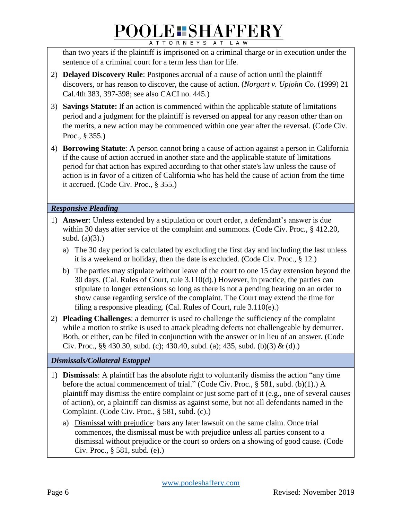than two years if the plaintiff is imprisoned on a criminal charge or in execution under the sentence of a criminal court for a term less than for life.

- 2) **Delayed Discovery Rule**: Postpones accrual of a cause of action until the plaintiff discovers, or has reason to discover, the cause of action. (*Norgart v. Upjohn Co.* (1999) 21 Cal.4th 383, 397-398; see also CACI no. 445.)
- 3) **Savings Statute:** If an action is commenced within the applicable statute of limitations period and a judgment for the plaintiff is reversed on appeal for any reason other than on the merits, a new action may be commenced within one year after the reversal. (Code Civ. Proc., § 355.)
- 4) **Borrowing Statute**: A person cannot bring a cause of action against a person in California if the cause of action accrued in another state and the applicable statute of limitations period for that action has expired according to that other state's law unless the cause of action is in favor of a citizen of California who has held the cause of action from the time it accrued. (Code Civ. Proc., § 355.)

#### *Responsive Pleading*

- 1) **Answer**: Unless extended by a stipulation or court order, a defendant's answer is due within 30 days after service of the complaint and summons. (Code Civ. Proc., § 412.20, subd.  $(a)(3)$ .)
	- a) The 30 day period is calculated by excluding the first day and including the last unless it is a weekend or holiday, then the date is excluded. (Code Civ. Proc., § 12.)
	- b) The parties may stipulate without leave of the court to one 15 day extension beyond the 30 days. (Cal. Rules of Court, rule 3.110(d).) However, in practice, the parties can stipulate to longer extensions so long as there is not a pending hearing on an order to show cause regarding service of the complaint. The Court may extend the time for filing a responsive pleading. (Cal. Rules of Court, rule 3.110(e).)
- 2) **Pleading Challenges**: a demurrer is used to challenge the sufficiency of the complaint while a motion to strike is used to attack pleading defects not challengeable by demurrer. Both, or either, can be filed in conjunction with the answer or in lieu of an answer. (Code Civ. Proc., §§ 430.30, subd. (c); 430.40, subd. (a); 435, subd. (b)(3) & (d).)

#### *Dismissals/Collateral Estoppel*

- 1) **Dismissals**: A plaintiff has the absolute right to voluntarily dismiss the action "any time before the actual commencement of trial." (Code Civ. Proc., § 581, subd. (b)(1).) A plaintiff may dismiss the entire complaint or just some part of it (e.g., one of several causes of action), or, a plaintiff can dismiss as against some, but not all defendants named in the Complaint. (Code Civ. Proc., § 581, subd. (c).)
	- a) Dismissal with prejudice: bars any later lawsuit on the same claim. Once trial commences, the dismissal must be with prejudice unless all parties consent to a dismissal without prejudice or the court so orders on a showing of good cause. (Code Civ. Proc., § 581, subd. (e).)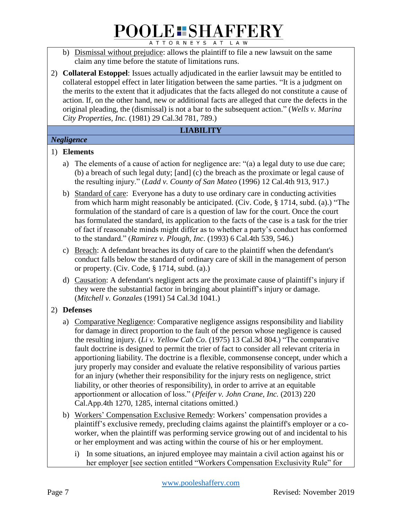- b) Dismissal without prejudice: allows the plaintiff to file a new lawsuit on the same claim any time before the statute of limitations runs.
- 2) **Collateral Estoppel**: Issues actually adjudicated in the earlier lawsuit may be entitled to collateral estoppel effect in later litigation between the same parties. "It is a judgment on the merits to the extent that it adjudicates that the facts alleged do not constitute a cause of action. If, on the other hand, new or additional facts are alleged that cure the defects in the original pleading, the (dismissal) is not a bar to the subsequent action." (*Wells v. Marina City Properties, Inc.* (1981) 29 Cal.3d 781, 789.)

#### **LIABILITY**

#### *Negligence*

#### 1) **Elements**

- a) The elements of a cause of action for negligence are: "(a) a legal duty to use due care; (b) a breach of such legal duty; [and] (c) the breach as the proximate or legal cause of the resulting injury." (*Ladd v. County of San Mateo* (1996) 12 Cal.4th 913, 917.)
- b) Standard of care: Everyone has a duty to use ordinary care in conducting activities from which harm might reasonably be anticipated. (Civ. Code, § 1714, subd. (a).) "The formulation of the standard of care is a question of law for the court. Once the court has formulated the standard, its application to the facts of the case is a task for the trier of fact if reasonable minds might differ as to whether a party's conduct has conformed to the standard." (*Ramirez v. Plough, Inc*. (1993) 6 Cal.4th 539, 546.)
- c) Breach: A defendant breaches its duty of care to the plaintiff when the defendant's conduct falls below the standard of ordinary care of skill in the management of person or property. (Civ. Code, § 1714, subd. (a).)
- d) Causation: A defendant's negligent acts are the proximate cause of plaintiff's injury if they were the substantial factor in bringing about plaintiff's injury or damage. (*Mitchell v. Gonzales* (1991) 54 Cal.3d 1041.)

#### 2) **Defenses**

- a) Comparative Negligence: Comparative negligence assigns responsibility and liability for damage in direct proportion to the fault of the person whose negligence is caused the resulting injury. (*Li v. Yellow Cab Co*. (1975) 13 Cal.3d 804.) "The comparative fault doctrine is designed to permit the trier of fact to consider all relevant criteria in apportioning liability. The doctrine is a flexible, commonsense concept, under which a jury properly may consider and evaluate the relative responsibility of various parties for an injury (whether their responsibility for the injury rests on negligence, strict liability, or other theories of responsibility), in order to arrive at an equitable apportionment or allocation of loss." (*Pfeifer v. John Crane, Inc.* (2013) 220 Cal.App.4th 1270, 1285, internal citations omitted.)
- b) Workers' Compensation Exclusive Remedy: Workers' compensation provides a plaintiff's exclusive remedy, precluding claims against the plaintiff's employer or a coworker, when the plaintiff was performing service growing out of and incidental to his or her employment and was acting within the course of his or her employment.
	- i) In some situations, an injured employee may maintain a civil action against his or her employer [see section entitled "Workers Compensation Exclusivity Rule" for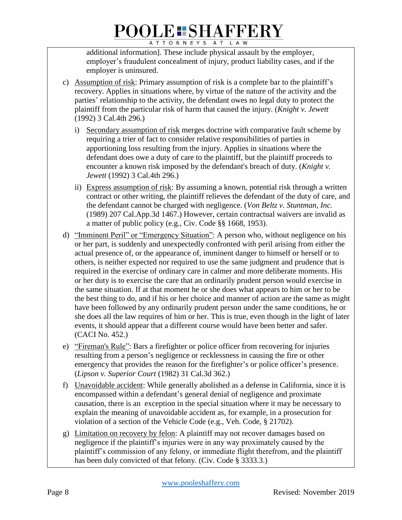additional information]. These include physical assault by the employer, employer's fraudulent concealment of injury, product liability cases, and if the employer is uninsured.

- c) Assumption of risk: Primary assumption of risk is a complete bar to the plaintiff's recovery. Applies in situations where, by virtue of the nature of the activity and the parties' relationship to the activity, the defendant owes no legal duty to protect the plaintiff from the particular risk of harm that caused the injury. (*Knight v. Jewett* (1992) 3 Cal.4th 296.)
	- i) Secondary assumption of risk merges doctrine with comparative fault scheme by requiring a trier of fact to consider relative responsibilities of parties in apportioning loss resulting from the injury. Applies in situations where the defendant does owe a duty of care to the plaintiff, but the plaintiff proceeds to encounter a known risk imposed by the defendant's breach of duty. (*Knight v. Jewett* (1992) 3 Cal.4th 296.)
	- ii) Express assumption of risk: By assuming a known, potential risk through a written contract or other writing, the plaintiff relieves the defendant of the duty of care, and the defendant cannot be charged with negligence. (*Von Beltz v. Stuntman, Inc.*  (1989) 207 Cal.App.3d 1467.) However, certain contractual waivers are invalid as a matter of public policy (e.g., Civ. Code §§ 1668, 1953).
- d) "Imminent Peril" or "Emergency Situation": A person who, without negligence on his or her part, is suddenly and unexpectedly confronted with peril arising from either the actual presence of, or the appearance of, imminent danger to himself or herself or to others, is neither expected nor required to use the same judgment and prudence that is required in the exercise of ordinary care in calmer and more deliberate moments. His or her duty is to exercise the care that an ordinarily prudent person would exercise in the same situation. If at that moment he or she does what appears to him or her to be the best thing to do, and if his or her choice and manner of action are the same as might have been followed by any ordinarily prudent person under the same conditions, he or she does all the law requires of him or her. This is true, even though in the light of later events, it should appear that a different course would have been better and safer. (CACI No. 452.)
- e) "Fireman's Rule": Bars a firefighter or police officer from recovering for injuries resulting from a person's negligence or recklessness in causing the fire or other emergency that provides the reason for the firefighter's or police officer's presence. (*Lipson v. Superior Court* (1982) 31 Cal.3d 362.)
- f) Unavoidable accident: While generally abolished as a defense in California, since it is encompassed within a defendant's general denial of negligence and proximate causation, there is an exception in the special situation where it may be necessary to explain the meaning of unavoidable accident as, for example, in a prosecution for violation of a section of the Vehicle Code (e.g., Veh. Code, § 21702).
- g) Limitation on recovery by felon: A plaintiff may not recover damages based on negligence if the plaintiff's injuries were in any way proximately caused by the plaintiff's commission of any felony, or immediate flight therefrom, and the plaintiff has been duly convicted of that felony. (Civ. Code § 3333.3.)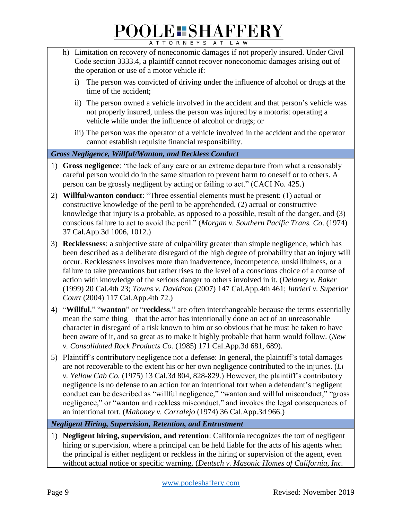- h) Limitation on recovery of noneconomic damages if not properly insured. Under Civil Code section 3333.4, a plaintiff cannot recover noneconomic damages arising out of the operation or use of a motor vehicle if:
	- i) The person was convicted of driving under the influence of alcohol or drugs at the time of the accident;
	- ii) The person owned a vehicle involved in the accident and that person's vehicle was not properly insured, unless the person was injured by a motorist operating a vehicle while under the influence of alcohol or drugs; or
	- iii) The person was the operator of a vehicle involved in the accident and the operator cannot establish requisite financial responsibility.

#### *Gross Negligence, Willful/Wanton, and Reckless Conduct*

- 1) **Gross negligence**: "the lack of any care or an extreme departure from what a reasonably careful person would do in the same situation to prevent harm to oneself or to others. A person can be grossly negligent by acting or failing to act." (CACI No. 425.)
- 2) **Willful/wanton conduct**: "Three essential elements must be present: (1) actual or constructive knowledge of the peril to be apprehended, (2) actual or constructive knowledge that injury is a probable, as opposed to a possible, result of the danger, and (3) conscious failure to act to avoid the peril." (*Morgan v. Southern Pacific Trans. Co*. (1974) 37 Cal.App.3d 1006, 1012.)
- 3) **Recklessness**: a subjective state of culpability greater than simple negligence, which has been described as a deliberate disregard of the high degree of probability that an injury will occur. Recklessness involves more than inadvertence, incompetence, unskillfulness, or a failure to take precautions but rather rises to the level of a conscious choice of a course of action with knowledge of the serious danger to others involved in it. (*Delaney v. Baker* (1999) 20 Cal.4th 23; *Towns v. Davidson* (2007) 147 Cal.App.4th 461; *Intrieri v. Superior Court* (2004) 117 Cal.App.4th 72.)
- 4) "**Willful**," "**wanton**" or "**reckless**," are often interchangeable because the terms essentially mean the same thing – that the actor has intentionally done an act of an unreasonable character in disregard of a risk known to him or so obvious that he must be taken to have been aware of it, and so great as to make it highly probable that harm would follow. (*New v. Consolidated Rock Products Co.* (1985) 171 Cal.App.3d 681, 689).
- 5) Plaintiff's contributory negligence not a defense: In general, the plaintiff's total damages are not recoverable to the extent his or her own negligence contributed to the injuries. (*Li v. Yellow Cab Co.* (1975) 13 Cal.3d 804, 828-829.) However, the plaintiff's contributory negligence is no defense to an action for an intentional tort when a defendant's negligent conduct can be described as "willful negligence," "wanton and willful misconduct," "gross negligence," or "wanton and reckless misconduct," and invokes the legal consequences of an intentional tort. (*Mahoney v. Corralejo* (1974) 36 Cal.App.3d 966.)

*Negligent Hiring, Supervision, Retention, and Entrustment*

1) **Negligent hiring, supervision, and retention**: California recognizes the tort of negligent hiring or supervision, where a principal can be held liable for the acts of his agents when the principal is either negligent or reckless in the hiring or supervision of the agent, even without actual notice or specific warning. (*Deutsch v. Masonic Homes of California, Inc.*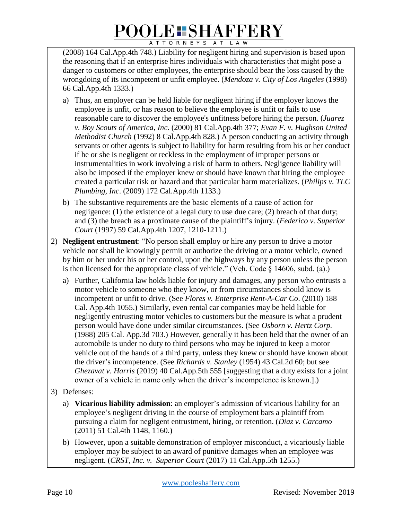(2008) 164 Cal.App.4th 748.) Liability for negligent hiring and supervision is based upon the reasoning that if an enterprise hires individuals with characteristics that might pose a danger to customers or other employees, the enterprise should bear the loss caused by the wrongdoing of its incompetent or unfit employee. (*Mendoza v. City of Los Angeles* (1998) 66 Cal.App.4th 1333.)

- a) Thus, an employer can be held liable for negligent hiring if the employer knows the employee is unfit, or has reason to believe the employee is unfit or fails to use reasonable care to discover the employee's unfitness before hiring the person. (*Juarez v. Boy Scouts of America, Inc.* (2000) 81 Cal.App.4th 377; *Evan F. v. Hughson United Methodist Church* (1992) 8 Cal.App.4th 828.) A person conducting an activity through servants or other agents is subject to liability for harm resulting from his or her conduct if he or she is negligent or reckless in the employment of improper persons or instrumentalities in work involving a risk of harm to others. Negligence liability will also be imposed if the employer knew or should have known that hiring the employee created a particular risk or hazard and that particular harm materializes. (*Philips v. TLC Plumbing, Inc*. (2009) 172 Cal.App.4th 1133.)
- b) The substantive requirements are the basic elements of a cause of action for negligence: (1) the existence of a legal duty to use due care; (2) breach of that duty; and (3) the breach as a proximate cause of the plaintiff's injury. (*Federico v. Superior Court* (1997) 59 Cal.App.4th 1207, 1210-1211.)
- 2) **Negligent entrustment**: "No person shall employ or hire any person to drive a motor vehicle nor shall he knowingly permit or authorize the driving or a motor vehicle, owned by him or her under his or her control, upon the highways by any person unless the person is then licensed for the appropriate class of vehicle." (Veh. Code  $\bar{\S}$  14606, subd. (a).)
	- a) Further, California law holds liable for injury and damages, any person who entrusts a motor vehicle to someone who they know, or from circumstances should know is incompetent or unfit to drive. (See *Flores v. Enterprise Rent-A-Car Co*. (2010) 188 Cal. App.4th 1055.) Similarly, even rental car companies may be held liable for negligently entrusting motor vehicles to customers but the measure is what a prudent person would have done under similar circumstances. (See *Osborn v. Hertz Corp.* (1988) 205 Cal. App.3d 703.) However, generally it has been held that the owner of an automobile is under no duty to third persons who may be injured to keep a motor vehicle out of the hands of a third party, unless they knew or should have known about the driver's incompetence. (See *Richards v. Stanley* (1954) 43 Cal.2d 60; but see *Ghezavat v. Harris* (2019) 40 Cal.App.5th 555 [suggesting that a duty exists for a joint owner of a vehicle in name only when the driver's incompetence is known.].)
- 3) Defenses:
	- a) **Vicarious liability admission**: an employer's admission of vicarious liability for an employee's negligent driving in the course of employment bars a plaintiff from pursuing a claim for negligent entrustment, hiring, or retention. (*Diaz v. Carcamo*  (2011) 51 Cal.4th 1148, 1160.)
	- b) However, upon a suitable demonstration of employer misconduct, a vicariously liable employer may be subject to an award of punitive damages when an employee was negligent. (*CRST, Inc. v. Superior Court* (2017) 11 Cal.App.5th 1255.)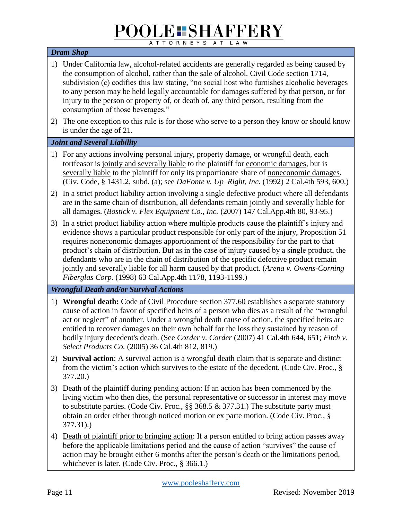## **POOLE SHAFFERY**

ATTORNEYS AT LAW

#### *Dram Shop*

- 1) Under California law, alcohol-related accidents are generally regarded as being caused by the consumption of alcohol, rather than the sale of alcohol. Civil Code section 1714, subdivision (c) codifies this law stating, "no social host who furnishes alcoholic beverages to any person may be held legally accountable for damages suffered by that person, or for injury to the person or property of, or death of, any third person, resulting from the consumption of those beverages."
- 2) The one exception to this rule is for those who serve to a person they know or should know is under the age of 21.

#### *Joint and Several Liability*

- 1) For any actions involving personal injury, property damage, or wrongful death, each tortfeasor is jointly and severally liable to the plaintiff for economic damages, but is severally liable to the plaintiff for only its proportionate share of noneconomic damages. (Civ. Code, § 1431.2, subd. (a); see *DaFonte v. Up–Right, Inc*. (1992) 2 Cal.4th 593, 600.)
- 2) In a strict product liability action involving a single defective product where all defendants are in the same chain of distribution, all defendants remain jointly and severally liable for all damages. (*Bostick v. Flex Equipment Co., Inc.* (2007) 147 Cal.App.4th 80, 93-95.)
- 3) In a strict product liability action where multiple products cause the plaintiff's injury and evidence shows a particular product responsible for only part of the injury, Proposition 51 requires noneconomic damages apportionment of the responsibility for the part to that product's chain of distribution. But as in the case of injury caused by a single product, the defendants who are in the chain of distribution of the specific defective product remain jointly and severally liable for all harm caused by that product. (*Arena v. Owens-Corning Fiberglas Corp.* (1998) 63 Cal.App.4th 1178, 1193-1199.)

#### *Wrongful Death and/or Survival Actions*

- 1) **Wrongful death:** Code of Civil Procedure section 377.60 establishes a separate statutory cause of action in favor of specified heirs of a person who dies as a result of the "wrongful act or neglect" of another. Under a wrongful death cause of action, the specified heirs are entitled to recover damages on their own behalf for the loss they sustained by reason of bodily injury decedent's death. (See *Corder v. Corder* (2007) 41 Cal.4th 644, 651; *Fitch v. Select Products Co.* (2005) 36 Cal.4th 812, 819.)
- 2) **Survival action**: A survival action is a wrongful death claim that is separate and distinct from the victim's action which survives to the estate of the decedent. (Code Civ. Proc., § 377.20.)
- 3) Death of the plaintiff during pending action: If an action has been commenced by the living victim who then dies, the personal representative or successor in interest may move to substitute parties. (Code Civ. Proc.,  $\S$ § 368.5 & 377.31.) The substitute party must obtain an order either through noticed motion or ex parte motion. (Code Civ. Proc., § 377.31).)
- 4) Death of plaintiff prior to bringing action: If a person entitled to bring action passes away before the applicable limitations period and the cause of action "survives" the cause of action may be brought either 6 months after the person's death or the limitations period, whichever is later. (Code Civ. Proc., § 366.1.)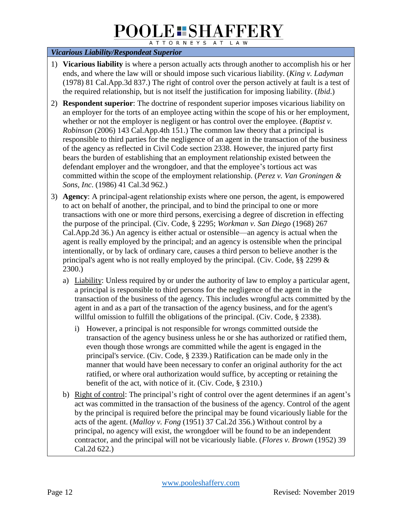## **POOLE SHAFFERY**

ATTORNEYS AT LAW

#### *Vicarious Liability/Respondeat Superior*

- 1) **Vicarious liability** is where a person actually acts through another to accomplish his or her ends, and where the law will or should impose such vicarious liability. (*King v. Ladyman* (1978) 81 Cal.App.3d 837.) The right of control over the person actively at fault is a test of the required relationship, but is not itself the justification for imposing liability. (*Ibid*.)
- 2) **Respondent superior**: The doctrine of respondent superior imposes vicarious liability on an employer for the torts of an employee acting within the scope of his or her employment, whether or not the employer is negligent or has control over the employee. (*Baptist v. Robinson* (2006) 143 Cal.App.4th 151.) The common law theory that a principal is responsible to third parties for the negligence of an agent in the transaction of the business of the agency as reflected in Civil Code section 2338. However, the injured party first bears the burden of establishing that an employment relationship existed between the defendant employer and the wrongdoer, and that the employee's tortious act was committed within the scope of the employment relationship. (*Perez v. Van Groningen & Sons, Inc*. (1986) 41 Cal.3d 962.)
- 3) **Agency**: A principal-agent relationship exists where one person, the agent, is empowered to act on behalf of another, the principal, and to bind the principal to one or more transactions with one or more third persons, exercising a degree of discretion in effecting the purpose of the principal. (Civ. Code, § 2295; *Workman v. San Diego* (1968) 267 Cal.App.2d 36.) An agency is either actual or ostensible—an agency is actual when the agent is really employed by the principal; and an agency is ostensible when the principal intentionally, or by lack of ordinary care, causes a third person to believe another is the principal's agent who is not really employed by the principal. (Civ. Code, §§ 2299 & 2300.)
	- a) Liability: Unless required by or under the authority of law to employ a particular agent, a principal is responsible to third persons for the negligence of the agent in the transaction of the business of the agency. This includes wrongful acts committed by the agent in and as a part of the transaction of the agency business, and for the agent's willful omission to fulfill the obligations of the principal. (Civ. Code, § 2338).
		- i) However, a principal is not responsible for wrongs committed outside the transaction of the agency business unless he or she has authorized or ratified them, even though those wrongs are committed while the agent is engaged in the principal's service. (Civ. Code, § 2339.) Ratification can be made only in the manner that would have been necessary to confer an original authority for the act ratified, or where oral authorization would suffice, by accepting or retaining the benefit of the act, with notice of it. (Civ. Code, § 2310.)
	- b) Right of control: The principal's right of control over the agent determines if an agent's act was committed in the transaction of the business of the agency. Control of the agent by the principal is required before the principal may be found vicariously liable for the acts of the agent. (*Malloy v. Fong* (1951) 37 Cal.2d 356.) Without control by a principal, no agency will exist, the wrongdoer will be found to be an independent contractor, and the principal will not be vicariously liable. (*Flores v. Brown* (1952) 39 Cal.2d 622.)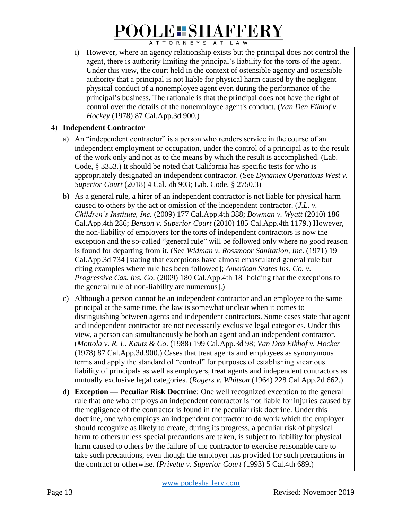i) However, where an agency relationship exists but the principal does not control the agent, there is authority limiting the principal's liability for the torts of the agent. Under this view, the court held in the context of ostensible agency and ostensible authority that a principal is not liable for physical harm caused by the negligent physical conduct of a nonemployee agent even during the performance of the principal's business. The rationale is that the principal does not have the right of control over the details of the nonemployee agent's conduct. (*Van Den Eikhof v. Hockey* (1978) 87 Cal.App.3d 900.)

#### 4) **Independent Contractor**

- a) An "independent contractor" is a person who renders service in the course of an independent employment or occupation, under the control of a principal as to the result of the work only and not as to the means by which the result is accomplished. (Lab. Code, § 3353.) It should be noted that California has specific tests for who is appropriately designated an independent contractor. (See *Dynamex Operations West v. Superior Court* (2018) 4 Cal.5th 903; Lab. Code, § 2750.3)
- b) As a general rule, a hirer of an independent contractor is not liable for physical harm caused to others by the act or omission of the independent contractor. (*J.L. v. Children's Institute, Inc.* (2009) 177 Cal.App.4th 388; *Bowman v. Wyatt* (2010) 186 Cal.App.4th 286; *Benson v. Superior Court* (2010) 185 Cal.App.4th 1179.) However, the non-liability of employers for the torts of independent contractors is now the exception and the so-called "general rule" will be followed only where no good reason is found for departing from it. (See *Widman v. Rossmoor Sanitation, Inc*. (1971) 19 Cal.App.3d 734 [stating that exceptions have almost emasculated general rule but citing examples where rule has been followed]; *American States Ins. Co. v. Progressive Cas. Ins. Co.* (2009) 180 Cal.App.4th 18 [holding that the exceptions to the general rule of non-liability are numerous].)
- c) Although a person cannot be an independent contractor and an employee to the same principal at the same time, the law is somewhat unclear when it comes to distinguishing between agents and independent contractors. Some cases state that agent and independent contractor are not necessarily exclusive legal categories. Under this view, a person can simultaneously be both an agent and an independent contractor. (*Mottola v. R. L. Kautz & Co*. (1988) 199 Cal.App.3d 98; *Van Den Eikhof v. Hocker* (1978) 87 Cal.App.3d.900.) Cases that treat agents and employees as synonymous terms and apply the standard of "control" for purposes of establishing vicarious liability of principals as well as employers, treat agents and independent contractors as mutually exclusive legal categories. (*Rogers v. Whitson* (1964) 228 Cal.App.2d 662.)
- d) **Exception — Peculiar Risk Doctrine**: One well recognized exception to the general rule that one who employs an independent contractor is not liable for injuries caused by the negligence of the contractor is found in the peculiar risk doctrine. Under this doctrine, one who employs an independent contractor to do work which the employer should recognize as likely to create, during its progress, a peculiar risk of physical harm to others unless special precautions are taken, is subject to liability for physical harm caused to others by the failure of the contractor to exercise reasonable care to take such precautions, even though the employer has provided for such precautions in the contract or otherwise. (*Privette v. Superior Court* (1993) 5 Cal.4th 689.)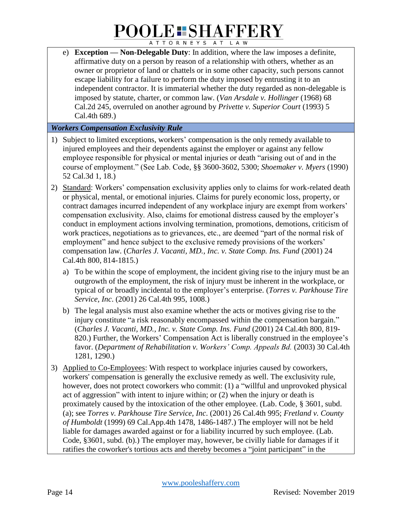e) **Exception — Non-Delegable Duty**: In addition, where the law imposes a definite, affirmative duty on a person by reason of a relationship with others, whether as an owner or proprietor of land or chattels or in some other capacity, such persons cannot escape liability for a failure to perform the duty imposed by entrusting it to an independent contractor. It is immaterial whether the duty regarded as non-delegable is imposed by statute, charter, or common law. (*Van Arsdale v. Hollinger* (1968) 68 Cal.2d 245, overruled on another aground by *Privette v. Superior Court* (1993) 5 Cal.4th 689.)

#### *Workers Compensation Exclusivity Rule*

- 1) Subject to limited exceptions, workers' compensation is the only remedy available to injured employees and their dependents against the employer or against any fellow employee responsible for physical or mental injuries or death "arising out of and in the course of employment." (See Lab. Code, §§ 3600-3602, 5300; *Shoemaker v. Myers* (1990) 52 Cal.3d 1, 18.)
- 2) Standard: Workers' compensation exclusivity applies only to claims for work-related death or physical, mental, or emotional injuries. Claims for purely economic loss, property, or contract damages incurred independent of any workplace injury are exempt from workers' compensation exclusivity. Also, claims for emotional distress caused by the employer's conduct in employment actions involving termination, promotions, demotions, criticism of work practices, negotiations as to grievances, etc., are deemed "part of the normal risk of employment" and hence subject to the exclusive remedy provisions of the workers' compensation law. (*Charles J. Vacanti, MD., Inc. v. State Comp. Ins. Fund* (2001) 24 Cal.4th 800, 814-1815.)
	- a) To be within the scope of employment, the incident giving rise to the injury must be an outgrowth of the employment, the risk of injury must be inherent in the workplace, or typical of or broadly incidental to the employer's enterprise. (*Torres v. Parkhouse Tire Service, Inc*. (2001) 26 Cal.4th 995, 1008.)
	- b) The legal analysis must also examine whether the acts or motives giving rise to the injury constitute "a risk reasonably encompassed within the compensation bargain." (*Charles J. Vacanti, MD., Inc. v. State Comp. Ins. Fund* (2001) 24 Cal.4th 800, 819- 820.) Further, the Workers' Compensation Act is liberally construed in the employee's favor. (*Department of Rehabilitation v. Workers' Comp. Appeals Bd.* (2003) 30 Cal.4th 1281, 1290.)
- 3) Applied to Co-Employees: With respect to workplace injuries caused by coworkers, workers' compensation is generally the exclusive remedy as well. The exclusivity rule, however, does not protect coworkers who commit: (1) a "willful and unprovoked physical act of aggression" with intent to injure within; or (2) when the injury or death is proximately caused by the intoxication of the other employee. (Lab. Code, § 3601, subd. (a); see *Torres v. Parkhouse Tire Service, Inc*. (2001) 26 Cal.4th 995; *Fretland v. County of Humboldt* (1999) 69 Cal.App.4th 1478, 1486-1487.) The employer will not be held liable for damages awarded against or for a liability incurred by such employee. (Lab. Code, §3601, subd. (b).) The employer may, however, be civilly liable for damages if it ratifies the coworker's tortious acts and thereby becomes a "joint participant" in the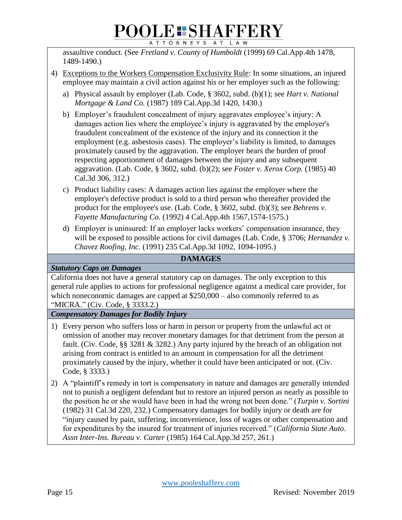assaultive conduct. (See *Fretland v. County of Humboldt* (1999) 69 Cal.App.4th 1478, 1489-1490.)

- 4) Exceptions to the Workers Compensation Exclusivity Rule: In some situations, an injured employee may maintain a civil action against his or her employer such as the following:
	- a) Physical assault by employer (Lab. Code, § 3602, subd. (b)(1); see *Hart v. National Mortgage & Land Co.* (1987) 189 Cal.App.3d 1420, 1430.)
	- b) Employer's fraudulent concealment of injury aggravates employee's injury: A damages action lies where the employee's injury is aggravated by the employer's fraudulent concealment of the existence of the injury and its connection it the employment (e.g. asbestosis cases). The employer's liability is limited, to damages proximately caused by the aggravation. The employer bears the burden of proof respecting apportionment of damages between the injury and any subsequent aggravation. (Lab. Code, § 3602, subd. (b)(2); see *Foster v. Xerox Corp.* (1985) 40 Cal.3d 306, 312.)
	- c) Product liability cases: A damages action lies against the employer where the employer's defective product is sold to a third person who thereafter provided the product for the employee's use. (Lab. Code, § 3602, subd. (b)(3); see *Behrens v. Fayette Manufacturing Co.* (1992) 4 Cal.App.4th 1567,1574-1575.)
	- d) Employer is uninsured: If an employer lacks workers' compensation insurance, they will be exposed to possible actions for civil damages (Lab. Code, § 3706; *Hernandez v. Chavez Roofing, Inc.* (1991) 235 Cal.App.3d 1092, 1094-1095.)

#### **DAMAGES**

*Statutory Caps on Damages*

California does not have a general statutory cap on damages. The only exception to this general rule applies to actions for professional negligence against a medical care provider, for which noneconomic damages are capped at  $$250,000 - also commonly referred to as$ "MICRA." (Civ. Code, § 3333.2.)

*Compensatory Damages for Bodily Injury*

- 1) Every person who suffers loss or harm in person or property from the unlawful act or omission of another may recover monetary damages for that detriment from the person at fault. (Civ. Code, §§ 3281 & 3282.) Any party injured by the breach of an obligation not arising from contract is entitled to an amount in compensation for all the detriment proximately caused by the injury, whether it could have been anticipated or not. (Civ. Code, § 3333.)
- 2) A "plaintiff's remedy in tort is compensatory in nature and damages are generally intended not to punish a negligent defendant but to restore an injured person as nearly as possible to the position he or she would have been in had the wrong not been done." (*Turpin v. Sortini* (1982) 31 Cal.3d 220, 232.) Compensatory damages for bodily injury or death are for "injury caused by pain, suffering, inconvenience, loss of wages or other compensation and for expenditures by the insured for treatment of injuries received." (*California State Auto. Assn Inter-Ins. Bureau v. Carter* (1985) 164 Cal.App.3d 257, 261.)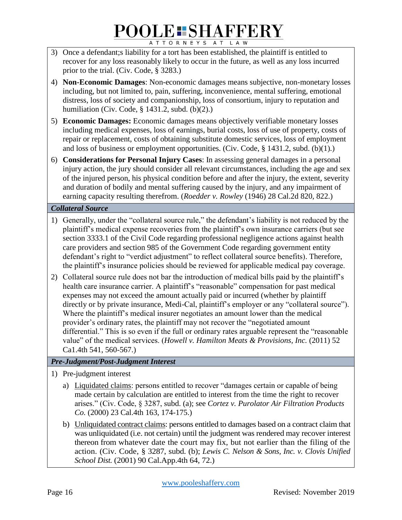- 3) Once a defendant;s liability for a tort has been established, the plaintiff is entitled to recover for any loss reasonably likely to occur in the future, as well as any loss incurred prior to the trial. (Civ. Code, § 3283.)
- 4) **Non-Economic Damages**: Non-economic damages means subjective, non-monetary losses including, but not limited to, pain, suffering, inconvenience, mental suffering, emotional distress, loss of society and companionship, loss of consortium, injury to reputation and humiliation (Civ. Code, § 1431.2, subd. (b)(2).)
- 5) **Economic Damages:** Economic damages means objectively verifiable monetary losses including medical expenses, loss of earnings, burial costs, loss of use of property, costs of repair or replacement, costs of obtaining substitute domestic services, loss of employment and loss of business or employment opportunities. (Civ. Code, § 1431.2, subd. (b)(1).)
- 6) **Considerations for Personal Injury Cases**: In assessing general damages in a personal injury action, the jury should consider all relevant circumstances, including the age and sex of the injured person, his physical condition before and after the injury, the extent, severity and duration of bodily and mental suffering caused by the injury, and any impairment of earning capacity resulting therefrom. (*Roedder v. Rowley* (1946) 28 Cal.2d 820, 822.)

#### *Collateral Source*

- 1) Generally, under the "collateral source rule," the defendant's liability is not reduced by the plaintiff's medical expense recoveries from the plaintiff's own insurance carriers (but see section 3333.1 of the Civil Code regarding professional negligence actions against health care providers and section 985 of the Government Code regarding government entity defendant's right to "verdict adjustment" to reflect collateral source benefits). Therefore, the plaintiff's insurance policies should be reviewed for applicable medical pay coverage.
- 2) Collateral source rule does not bar the introduction of medical bills paid by the plaintiff's health care insurance carrier. A plaintiff's "reasonable" compensation for past medical expenses may not exceed the amount actually paid or incurred (whether by plaintiff directly or by private insurance, Medi-Cal, plaintiff's employer or any "collateral source"). Where the plaintiff's medical insurer negotiates an amount lower than the medical provider's ordinary rates, the plaintiff may not recover the "negotiated amount differential." This is so even if the full or ordinary rates arguable represent the "reasonable value" of the medical services. (*Howell v. Hamilton Meats & Provisions, Inc.* (2011) 52 Ca1.4th 541, 560-567.)

#### *Pre-Judgment/Post-Judgment Interest*

- 1) Pre-judgment interest
	- a) Liquidated claims: persons entitled to recover "damages certain or capable of being made certain by calculation are entitled to interest from the time the right to recover arises." (Civ. Code, § 3287, subd. (a); see *Cortez v. Purolator Air Filtration Products Co.* (2000) 23 Cal.4th 163, 174-175.)
	- b) Unliquidated contract claims: persons entitled to damages based on a contract claim that was unliquidated (i.e. not certain) until the judgment was rendered may recover interest thereon from whatever date the court may fix, but not earlier than the filing of the action. (Civ. Code, § 3287, subd. (b); *Lewis C. Nelson & Sons, Inc. v. Clovis Unified School Dist.* (2001) 90 Cal.App.4th 64, 72.)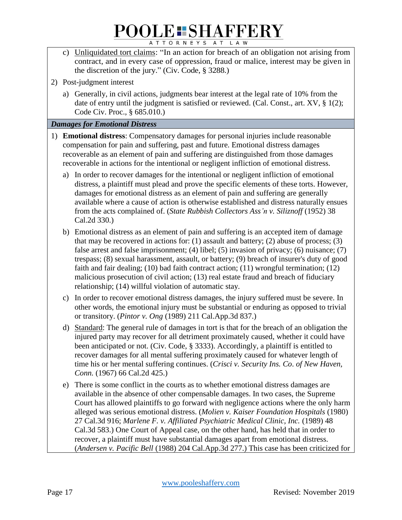- c) Unliquidated tort claims: "In an action for breach of an obligation not arising from contract, and in every case of oppression, fraud or malice, interest may be given in the discretion of the jury." (Civ. Code, § 3288.)
- 2) Post-judgment interest
	- a) Generally, in civil actions, judgments bear interest at the legal rate of 10% from the date of entry until the judgment is satisfied or reviewed. (Cal. Const., art. XV, § 1(2); Code Civ. Proc., § 685.010.)

#### *Damages for Emotional Distress*

- 1) **Emotional distress**: Compensatory damages for personal injuries include reasonable compensation for pain and suffering, past and future. Emotional distress damages recoverable as an element of pain and suffering are distinguished from those damages recoverable in actions for the intentional or negligent infliction of emotional distress.
	- a) In order to recover damages for the intentional or negligent infliction of emotional distress, a plaintiff must plead and prove the specific elements of these torts. However, damages for emotional distress as an element of pain and suffering are generally available where a cause of action is otherwise established and distress naturally ensues from the acts complained of. (*State Rubbish Collectors Ass'n v. Siliznoff* (1952) 38 Cal.2d 330.)
	- b) Emotional distress as an element of pain and suffering is an accepted item of damage that may be recovered in actions for: (1) assault and battery; (2) abuse of process; (3) false arrest and false imprisonment; (4) libel; (5) invasion of privacy; (6) nuisance; (7) trespass; (8) sexual harassment, assault, or battery; (9) breach of insurer's duty of good faith and fair dealing; (10) bad faith contract action; (11) wrongful termination; (12) malicious prosecution of civil action; (13) real estate fraud and breach of fiduciary relationship; (14) willful violation of automatic stay.
	- c) In order to recover emotional distress damages, the injury suffered must be severe. In other words, the emotional injury must be substantial or enduring as opposed to trivial or transitory. (*Pintor v. Ong* (1989) 211 Cal.App.3d 837.)
	- d) Standard: The general rule of damages in tort is that for the breach of an obligation the injured party may recover for all detriment proximately caused, whether it could have been anticipated or not. (Civ. Code, § 3333). Accordingly, a plaintiff is entitled to recover damages for all mental suffering proximately caused for whatever length of time his or her mental suffering continues. (*Crisci v. Security Ins. Co*. *of New Haven, Conn.* (1967) 66 Cal.2d 425.)
	- e) There is some conflict in the courts as to whether emotional distress damages are available in the absence of other compensable damages. In two cases, the Supreme Court has allowed plaintiffs to go forward with negligence actions where the only harm alleged was serious emotional distress. (*Molien v. Kaiser Foundation Hospitals* (1980) 27 Cal.3d 916; *Marlene F. v. Affiliated Psychiatric Medical Clinic, Inc.* (1989) 48 Cal.3d 583.) One Court of Appeal case, on the other hand, has held that in order to recover, a plaintiff must have substantial damages apart from emotional distress. (*Andersen v. Pacific Bell* (1988) 204 Cal.App.3d 277.) This case has been criticized for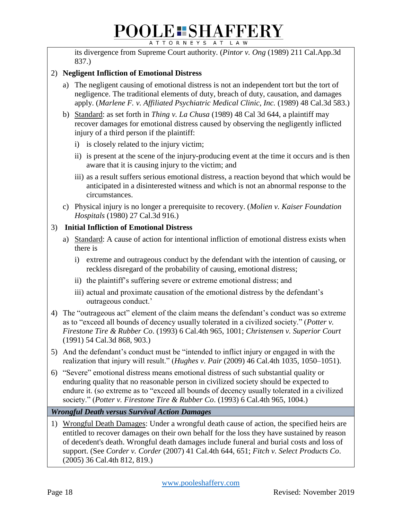its divergence from Supreme Court authority. (*Pintor v. Ong* (1989) 211 Cal.App.3d 837.)

#### 2) **Negligent Infliction of Emotional Distress**

- a) The negligent causing of emotional distress is not an independent tort but the tort of negligence. The traditional elements of duty, breach of duty, causation, and damages apply. (*Marlene F. v. Affiliated Psychiatric Medical Clinic, Inc.* (1989) 48 Cal.3d 583.)
- b) Standard: as set forth in *Thing v. La Chusa* (1989) 48 Cal 3d 644, a plaintiff may recover damages for emotional distress caused by observing the negligently inflicted injury of a third person if the plaintiff:
	- i) is closely related to the injury victim;
	- ii) is present at the scene of the injury-producing event at the time it occurs and is then aware that it is causing injury to the victim; and
	- iii) as a result suffers serious emotional distress, a reaction beyond that which would be anticipated in a disinterested witness and which is not an abnormal response to the circumstances.
- c) Physical injury is no longer a prerequisite to recovery. (*Molien v. Kaiser Foundation Hospitals* (1980) 27 Cal.3d 916.)

#### 3) **Initial Infliction of Emotional Distress**

- a) Standard: A cause of action for intentional infliction of emotional distress exists when there is
	- i) extreme and outrageous conduct by the defendant with the intention of causing, or reckless disregard of the probability of causing, emotional distress;
	- ii) the plaintiff's suffering severe or extreme emotional distress; and
	- iii) actual and proximate causation of the emotional distress by the defendant's outrageous conduct.'
- 4) The "outrageous act" element of the claim means the defendant's conduct was so extreme as to "exceed all bounds of decency usually tolerated in a civilized society." (*Potter v. Firestone Tire & Rubber Co*. (1993) 6 Cal.4th 965, 1001; *Christensen v. Superior Court* (1991) 54 Cal.3d 868, 903.)
- 5) And the defendant's conduct must be "intended to inflict injury or engaged in with the realization that injury will result." (*Hughes v. Pair* (2009) 46 Cal.4th 1035, 1050–1051).
- 6) "Severe" emotional distress means emotional distress of such substantial quality or enduring quality that no reasonable person in civilized society should be expected to endure it. (so extreme as to "exceed all bounds of decency usually tolerated in a civilized society." (*Potter v. Firestone Tire & Rubber Co*. (1993) 6 Cal.4th 965, 1004.)

*Wrongful Death versus Survival Action Damages*

1) Wrongful Death Damages: Under a wrongful death cause of action, the specified heirs are entitled to recover damages on their own behalf for the loss they have sustained by reason of decedent's death. Wrongful death damages include funeral and burial costs and loss of support. (See *Corder v. Corder* (2007) 41 Cal.4th 644, 651; *Fitch v. Select Products Co*. (2005) 36 Cal.4th 812, 819.)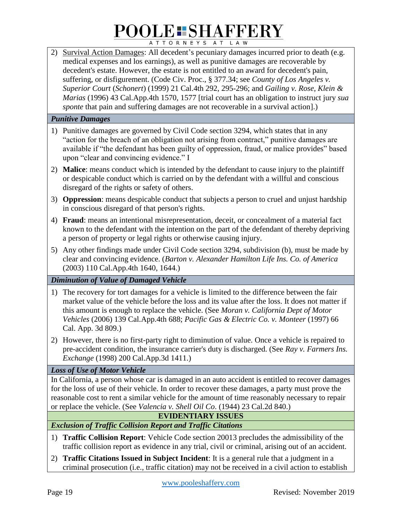2) Survival Action Damages: All decedent's pecuniary damages incurred prior to death (e.g. medical expenses and los earnings), as well as punitive damages are recoverable by decedent's estate. However, the estate is not entitled to an award for decedent's pain, suffering, or disfigurement. (Code Civ. Proc., § 377.34; see *County of Los Angeles v. Superior Court* (*Schonert*) (1999) 21 Cal.4th 292, 295-296; and *Gailing v. Rose, Klein & Marias* (1996) 43 Cal.App.4th 1570, 1577 [trial court has an obligation to instruct jury *sua sponte* that pain and suffering damages are not recoverable in a survival action].)

#### *Punitive Damages*

- 1) Punitive damages are governed by Civil Code section 3294, which states that in any "action for the breach of an obligation not arising from contract," punitive damages are available if "the defendant has been guilty of oppression, fraud, or malice provides" based upon "clear and convincing evidence." I
- 2) **Malice**: means conduct which is intended by the defendant to cause injury to the plaintiff or despicable conduct which is carried on by the defendant with a willful and conscious disregard of the rights or safety of others.
- 3) **Oppression**: means despicable conduct that subjects a person to cruel and unjust hardship in conscious disregard of that person's rights.
- 4) **Fraud**: means an intentional misrepresentation, deceit, or concealment of a material fact known to the defendant with the intention on the part of the defendant of thereby depriving a person of property or legal rights or otherwise causing injury.
- 5) Any other findings made under Civil Code section 3294, subdivision (b), must be made by clear and convincing evidence. (*Barton v. Alexander Hamilton Life Ins. Co. of America* (2003) 110 Cal.App.4th 1640, 1644.)

*Diminution of Value of Damaged Vehicle*

- 1) The recovery for tort damages for a vehicle is limited to the difference between the fair market value of the vehicle before the loss and its value after the loss. It does not matter if this amount is enough to replace the vehicle. (See *Moran v. California Dept of Motor Vehicles* (2006) 139 Cal.App.4th 688; *Pacific Gas & Electric Co. v. Monteer* (1997) 66 Cal. App. 3d 809.)
- 2) However, there is no first-party right to diminution of value. Once a vehicle is repaired to pre-accident condition, the insurance carrier's duty is discharged. (See *Ray v. Farmers Ins. Exchange* (1998) 200 Cal.App.3d 1411.)

*Loss of Use of Motor Vehicle*

In California, a person whose car is damaged in an auto accident is entitled to recover damages for the loss of use of their vehicle. In order to recover these damages, a party must prove the reasonable cost to rent a similar vehicle for the amount of time reasonably necessary to repair or replace the vehicle. (See *Valencia v. Shell Oil Co*. (1944) 23 Cal.2d 840.)

#### **EVIDENTIARY ISSUES**

*Exclusion of Traffic Collision Report and Traffic Citations*

- 1) **Traffic Collision Report**: Vehicle Code section 20013 precludes the admissibility of the traffic collision report as evidence in any trial, civil or criminal, arising out of an accident.
- 2) **Traffic Citations Issued in Subject Incident**: It is a general rule that a judgment in a criminal prosecution (i.e., traffic citation) may not be received in a civil action to establish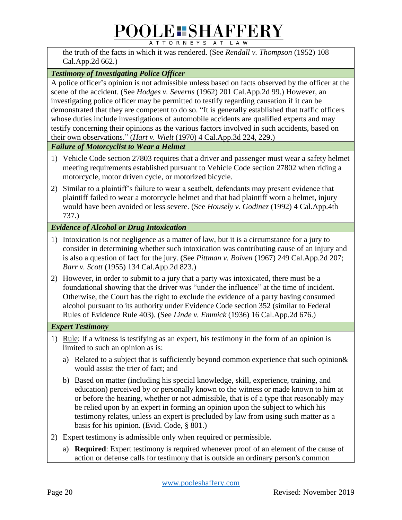the truth of the facts in which it was rendered. (See *Rendall v. Thompson* (1952) 108 Cal.App.2d 662.)

#### *Testimony of Investigating Police Officer*

A police officer's opinion is not admissible unless based on facts observed by the officer at the scene of the accident. (See *Hodges v. Severns* (1962) 201 Cal.App.2d 99.) However, an investigating police officer may be permitted to testify regarding causation if it can be demonstrated that they are competent to do so. "It is generally established that traffic officers whose duties include investigations of automobile accidents are qualified experts and may testify concerning their opinions as the various factors involved in such accidents, based on their own observations." (*Hart v. Wielt* (1970) 4 Cal.App.3d 224, 229.)

*Failure of Motorcyclist to Wear a Helmet*

- 1) Vehicle Code section 27803 requires that a driver and passenger must wear a safety helmet meeting requirements established pursuant to Vehicle Code section 27802 when riding a motorcycle, motor driven cycle, or motorized bicycle.
- 2) Similar to a plaintiff's failure to wear a seatbelt, defendants may present evidence that plaintiff failed to wear a motorcycle helmet and that had plaintiff worn a helmet, injury would have been avoided or less severe. (See *Housely v. Godinez* (1992) 4 Cal.App.4th 737.)

*Evidence of Alcohol or Drug Intoxication*

- 1) Intoxication is not negligence as a matter of law, but it is a circumstance for a jury to consider in determining whether such intoxication was contributing cause of an injury and is also a question of fact for the jury. (See *Pittman v. Boiven* (1967) 249 Cal.App.2d 207; *Barr v. Scott* (1955) 134 Cal.App.2d 823.)
- 2) However, in order to submit to a jury that a party was intoxicated, there must be a foundational showing that the driver was "under the influence" at the time of incident. Otherwise, the Court has the right to exclude the evidence of a party having consumed alcohol pursuant to its authority under Evidence Code section 352 (similar to Federal Rules of Evidence Rule 403). (See *Linde v. Emmick* (1936) 16 Cal.App.2d 676.)

#### *Expert Testimony*

- 1) Rule: If a witness is testifying as an expert, his testimony in the form of an opinion is limited to such an opinion as is:
	- a) Related to a subject that is sufficiently beyond common experience that such opinion& would assist the trier of fact; and
	- b) Based on matter (including his special knowledge, skill, experience, training, and education) perceived by or personally known to the witness or made known to him at or before the hearing, whether or not admissible, that is of a type that reasonably may be relied upon by an expert in forming an opinion upon the subject to which his testimony relates, unless an expert is precluded by law from using such matter as a basis for his opinion. (Evid. Code, § 801.)
- 2) Expert testimony is admissible only when required or permissible.
	- a) **Required**: Expert testimony is required whenever proof of an element of the cause of action or defense calls for testimony that is outside an ordinary person's common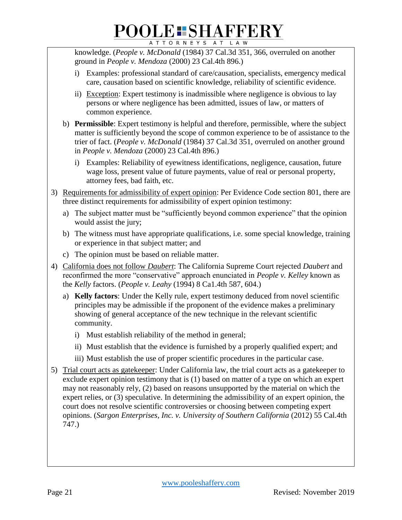## **POOLE SHAFFERY**

ATTORNEYS AT LAW

knowledge. (*People v. McDonald* (1984) 37 Cal.3d 351, 366, overruled on another ground in *People v. Mendoza* (2000) 23 Cal.4th 896.)

- i) Examples: professional standard of care/causation, specialists, emergency medical care, causation based on scientific knowledge, reliability of scientific evidence.
- ii) Exception: Expert testimony is inadmissible where negligence is obvious to lay persons or where negligence has been admitted, issues of law, or matters of common experience.
- b) **Permissible**: Expert testimony is helpful and therefore, permissible, where the subject matter is sufficiently beyond the scope of common experience to be of assistance to the trier of fact. (*People v. McDonald* (1984) 37 Cal.3d 351, overruled on another ground in *People v. Mendoza* (2000) 23 Cal.4th 896.)
	- i) Examples: Reliability of eyewitness identifications, negligence, causation, future wage loss, present value of future payments, value of real or personal property, attorney fees, bad faith, etc.
- 3) Requirements for admissibility of expert opinion: Per Evidence Code section 801, there are three distinct requirements for admissibility of expert opinion testimony:
	- a) The subject matter must be "sufficiently beyond common experience" that the opinion would assist the jury;
	- b) The witness must have appropriate qualifications, i.e. some special knowledge, training or experience in that subject matter; and
	- c) The opinion must be based on reliable matter.
- 4) California does not follow *Daubert*: The California Supreme Court rejected *Daubert* and reconfirmed the more "conservative" approach enunciated in *People v. Kelley* known as the *Kelly* factors. (*People v. Leahy* (1994) 8 Ca1.4th 587, 604.)
	- a) **Kelly factors**: Under the Kelly rule, expert testimony deduced from novel scientific principles may be admissible if the proponent of the evidence makes a preliminary showing of general acceptance of the new technique in the relevant scientific community.
		- i) Must establish reliability of the method in general;
		- ii) Must establish that the evidence is furnished by a properly qualified expert; and
		- iii) Must establish the use of proper scientific procedures in the particular case.
- 5) Trial court acts as gatekeeper: Under California law, the trial court acts as a gatekeeper to exclude expert opinion testimony that is (1) based on matter of a type on which an expert may not reasonably rely, (2) based on reasons unsupported by the material on which the expert relies, or (3) speculative. In determining the admissibility of an expert opinion, the court does not resolve scientific controversies or choosing between competing expert opinions. (*Sargon Enterprises, Inc. v. University of Southern California* (2012) 55 Cal.4th 747.)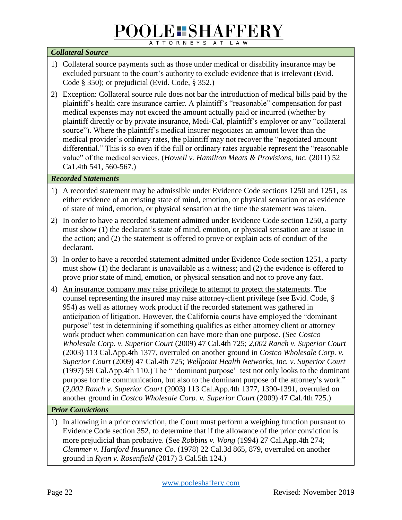#### *Collateral Source*

- 1) Collateral source payments such as those under medical or disability insurance may be excluded pursuant to the court's authority to exclude evidence that is irrelevant (Evid. Code § 350); or prejudicial (Evid. Code, § 352.)
- 2) Exception: Collateral source rule does not bar the introduction of medical bills paid by the plaintiff's health care insurance carrier. A plaintiff's "reasonable" compensation for past medical expenses may not exceed the amount actually paid or incurred (whether by plaintiff directly or by private insurance, Medi-Cal, plaintiff's employer or any "collateral source"). Where the plaintiff's medical insurer negotiates an amount lower than the medical provider's ordinary rates, the plaintiff may not recover the "negotiated amount differential." This is so even if the full or ordinary rates arguable represent the "reasonable value" of the medical services. (*Howell v. Hamilton Meats & Provisions, Inc.* (2011) 52 Ca1.4th 541, 560-567.)

#### *Recorded Statements*

- 1) A recorded statement may be admissible under Evidence Code sections 1250 and 1251, as either evidence of an existing state of mind, emotion, or physical sensation or as evidence of state of mind, emotion, or physical sensation at the time the statement was taken.
- 2) In order to have a recorded statement admitted under Evidence Code section 1250, a party must show (1) the declarant's state of mind, emotion, or physical sensation are at issue in the action; and (2) the statement is offered to prove or explain acts of conduct of the declarant.
- 3) In order to have a recorded statement admitted under Evidence Code section 1251, a party must show (1) the declarant is unavailable as a witness; and (2) the evidence is offered to prove prior state of mind, emotion, or physical sensation and not to prove any fact.
- 4) An insurance company may raise privilege to attempt to protect the statements. The counsel representing the insured may raise attorney-client privilege (see Evid. Code, § 954) as well as attorney work product if the recorded statement was gathered in anticipation of litigation. However, the California courts have employed the "dominant purpose" test in determining if something qualifies as either attorney client or attorney work product when communication can have more than one purpose. (See *Costco Wholesale Corp. v. Superior Court* (2009) 47 Cal.4th 725; *2,002 Ranch v. Superior Court*  (2003) 113 Cal.App.4th 1377, overruled on another ground in *Costco Wholesale Corp. v. Superior Court* (2009) 47 Cal.4th 725; *Wellpoint Health Networks, Inc. v. Superior Court* (1997) 59 Cal.App.4th 110.) The " 'dominant purpose' test not only looks to the dominant purpose for the communication, but also to the dominant purpose of the attorney's work." (*2,002 Ranch v. Superior Court* (2003) 113 Cal.App.4th 1377, 1390-1391, overruled on another ground in *Costco Wholesale Corp. v. Superior Court* (2009) 47 Cal.4th 725.)

#### *Prior Convictions*

1) In allowing in a prior conviction, the Court must perform a weighing function pursuant to Evidence Code section 352, to determine that if the allowance of the prior conviction is more prejudicial than probative. (See *Robbins v. Wong* (1994) 27 Cal.App.4th 274; *Clemmer v. Hartford Insurance Co.* (1978) 22 Cal.3d 865, 879, overruled on another ground in *Ryan v. Rosenfield* (2017) 3 Cal.5th 124.)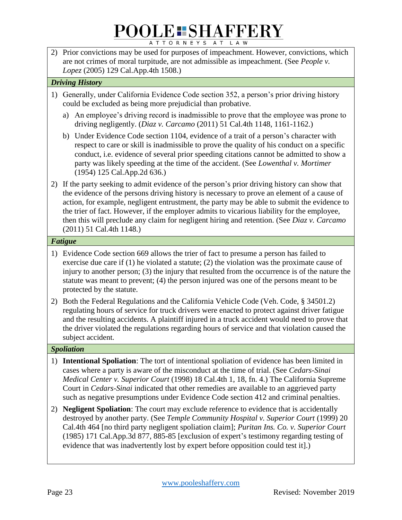2) Prior convictions may be used for purposes of impeachment. However, convictions, which are not crimes of moral turpitude, are not admissible as impeachment. (See *People v. Lopez* (2005) 129 Cal.App.4th 1508.)

#### *Driving History*

- 1) Generally, under California Evidence Code section 352, a person's prior driving history could be excluded as being more prejudicial than probative.
	- a) An employee's driving record is inadmissible to prove that the employee was prone to driving negligently. (*Diaz v. Carcamo* (2011) 51 Cal.4th 1148, 1161-1162.)
	- b) Under Evidence Code section 1104, evidence of a trait of a person's character with respect to care or skill is inadmissible to prove the quality of his conduct on a specific conduct, i.e. evidence of several prior speeding citations cannot be admitted to show a party was likely speeding at the time of the accident. (See *Lowenthal v. Mortimer* (1954) 125 Cal.App.2d 636.)
- 2) If the party seeking to admit evidence of the person's prior driving history can show that the evidence of the persons driving history is necessary to prove an element of a cause of action, for example, negligent entrustment, the party may be able to submit the evidence to the trier of fact. However, if the employer admits to vicarious liability for the employee, then this will preclude any claim for negligent hiring and retention. (See *Diaz v. Carcamo*  (2011) 51 Cal.4th 1148.)

#### *Fatigue*

- 1) Evidence Code section 669 allows the trier of fact to presume a person has failed to exercise due care if (1) he violated a statute; (2) the violation was the proximate cause of injury to another person; (3) the injury that resulted from the occurrence is of the nature the statute was meant to prevent; (4) the person injured was one of the persons meant to be protected by the statute.
- 2) Both the Federal Regulations and the California Vehicle Code (Veh. Code, § 34501.2) regulating hours of service for truck drivers were enacted to protect against driver fatigue and the resulting accidents. A plaintiff injured in a truck accident would need to prove that the driver violated the regulations regarding hours of service and that violation caused the subject accident.

#### *Spoliation*

- 1) **Intentional Spoliation**: The tort of intentional spoliation of evidence has been limited in cases where a party is aware of the misconduct at the time of trial. (See *Cedars-Sinai Medical Center v. Superior Court* (1998) 18 Cal.4th 1, 18, fn. 4.) The California Supreme Court in *Cedars-Sinai* indicated that other remedies are available to an aggrieved party such as negative presumptions under Evidence Code section 412 and criminal penalties.
- 2) **Negligent Spoliation**: The court may exclude reference to evidence that is accidentally destroyed by another party. (See *Temple Community Hospital v. Superior Court* (1999) 20 Cal.4th 464 [no third party negligent spoliation claim]; *Puritan Ins. Co. v. Superior Court* (1985) 171 Cal.App.3d 877, 885-85 [exclusion of expert's testimony regarding testing of evidence that was inadvertently lost by expert before opposition could test it].)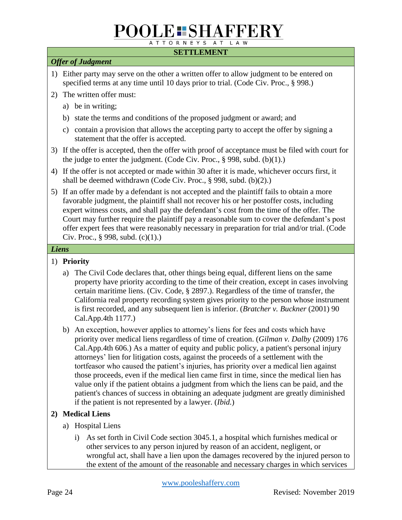#### **SETTLEMENT**

#### *Offer of Judgment*

- 1) Either party may serve on the other a written offer to allow judgment to be entered on specified terms at any time until 10 days prior to trial. (Code Civ. Proc., § 998.)
- 2) The written offer must:
	- a) be in writing;
	- b) state the terms and conditions of the proposed judgment or award; and
	- c) contain a provision that allows the accepting party to accept the offer by signing a statement that the offer is accepted.
- 3) If the offer is accepted, then the offer with proof of acceptance must be filed with court for the judge to enter the judgment. (Code Civ. Proc.,  $\S$  998, subd. (b)(1).)
- 4) If the offer is not accepted or made within 30 after it is made, whichever occurs first, it shall be deemed withdrawn (Code Civ. Proc., § 998, subd. (b)(2).)
- 5) If an offer made by a defendant is not accepted and the plaintiff fails to obtain a more favorable judgment, the plaintiff shall not recover his or her postoffer costs, including expert witness costs, and shall pay the defendant's cost from the time of the offer. The Court may further require the plaintiff pay a reasonable sum to cover the defendant's post offer expert fees that were reasonably necessary in preparation for trial and/or trial. (Code Civ. Proc., § 998, subd. (c)(1).)

#### *Liens*

#### 1) **Priority**

- a) The Civil Code declares that, other things being equal, different liens on the same property have priority according to the time of their creation, except in cases involving certain maritime liens. (Civ. Code, § 2897.). Regardless of the time of transfer, the California real property recording system gives priority to the person whose instrument is first recorded, and any subsequent lien is inferior. (*Bratcher v. Buckner* (2001) 90 Cal.App.4th 1177.)
- b) An exception, however applies to attorney's liens for fees and costs which have priority over medical liens regardless of time of creation. (*Gilman v. Dalby* (2009) 176 Cal.App.4th 606.) As a matter of equity and public policy, a patient's personal injury attorneys' lien for litigation costs, against the proceeds of a settlement with the tortfeasor who caused the patient's injuries, has priority over a medical lien against those proceeds, even if the medical lien came first in time, since the medical lien has value only if the patient obtains a judgment from which the liens can be paid, and the patient's chances of success in obtaining an adequate judgment are greatly diminished if the patient is not represented by a lawyer. (*Ibid.*)

#### **2) Medical Liens**

- a) Hospital Liens
	- i) As set forth in Civil Code section 3045.1, a hospital which furnishes medical or other services to any person injured by reason of an accident, negligent, or wrongful act, shall have a lien upon the damages recovered by the injured person to the extent of the amount of the reasonable and necessary charges in which services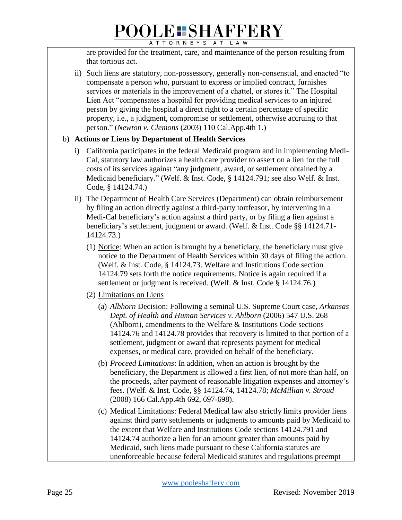are provided for the treatment, care, and maintenance of the person resulting from that tortious act.

ii) Such liens are statutory, non-possessory, generally non-consensual, and enacted "to compensate a person who, pursuant to express or implied contract, furnishes services or materials in the improvement of a chattel, or stores it." The Hospital Lien Act "compensates a hospital for providing medical services to an injured person by giving the hospital a direct right to a certain percentage of specific property, i.e., a judgment, compromise or settlement, otherwise accruing to that person." (*Newton v. Clemons* (2003) 110 Cal.App.4th 1.)

#### b) **Actions or Liens by Department of Health Services**

- i) California participates in the federal Medicaid program and in implementing Medi-Cal, statutory law authorizes a health care provider to assert on a lien for the full costs of its services against "any judgment, award, or settlement obtained by a Medicaid beneficiary." (Welf. & Inst. Code, § 14124.791; see also Welf. & Inst. Code, § 14124.74.)
- ii) The Department of Health Care Services (Department) can obtain reimbursement by filing an action directly against a third-party tortfeasor, by intervening in a Medi-Cal beneficiary's action against a third party, or by filing a lien against a beneficiary's settlement, judgment or award. (Welf. & Inst. Code §§ 14124.71- 14124.73.)
	- (1) Notice: When an action is brought by a beneficiary, the beneficiary must give notice to the Department of Health Services within 30 days of filing the action. (Welf. & Inst. Code, § 14124.73. Welfare and Institutions Code section 14124.79 sets forth the notice requirements. Notice is again required if a settlement or judgment is received. (Welf. & Inst. Code § 14124.76.)
	- (2) Limitations on Liens
		- (a) *Albhorn* Decision: Following a seminal U.S. Supreme Court case, *Arkansas Dept. of Health and Human Services v. Ahlborn* (2006) 547 U.S. 268 (Ahlborn), amendments to the Welfare & Institutions Code sections 14124.76 and 14124.78 provides that recovery is limited to that portion of a settlement, judgment or award that represents payment for medical expenses, or medical care, provided on behalf of the beneficiary.
		- (b) *Proceed Limitations*: In addition, when an action is brought by the beneficiary, the Department is allowed a first lien, of not more than half, on the proceeds, after payment of reasonable litigation expenses and attorney's fees. (Welf. & Inst. Code, §§ 14124.74, 14124.78; *McMillian v. Stroud* (2008) 166 Cal.App.4th 692, 697-698).
		- (c) Medical Limitations: Federal Medical law also strictly limits provider liens against third party settlements or judgments to amounts paid by Medicaid to the extent that Welfare and Institutions Code sections 14124.791 and 14124.74 authorize a lien for an amount greater than amounts paid by Medicaid, such liens made pursuant to these California statutes are unenforceable because federal Medicaid statutes and regulations preempt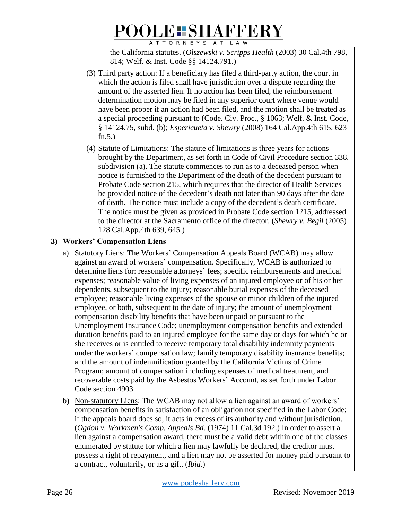the California statutes. (*Olszewski v. Scripps Health* (2003) 30 Cal.4th 798, 814; Welf. & Inst. Code §§ 14124.791.)

- (3) Third party action: If a beneficiary has filed a third-party action, the court in which the action is filed shall have jurisdiction over a dispute regarding the amount of the asserted lien. If no action has been filed, the reimbursement determination motion may be filed in any superior court where venue would have been proper if an action had been filed, and the motion shall be treated as a special proceeding pursuant to (Code. Civ. Proc., § 1063; Welf. & Inst. Code, § 14124.75, subd. (b); *Espericueta v. Shewry* (2008) 164 Cal.App.4th 615, 623 fn.5.)
- (4) Statute of Limitations: The statute of limitations is three years for actions brought by the Department, as set forth in Code of Civil Procedure section 338, subdivision (a). The statute commences to run as to a deceased person when notice is furnished to the Department of the death of the decedent pursuant to Probate Code section 215, which requires that the director of Health Services be provided notice of the decedent's death not later than 90 days after the date of death. The notice must include a copy of the decedent's death certificate. The notice must be given as provided in Probate Code section 1215, addressed to the director at the Sacramento office of the director. (*Shewry v. Begil* (2005) 128 Cal.App.4th 639, 645.)

#### **3) Workers' Compensation Liens**

- a) Statutory Liens: The Workers' Compensation Appeals Board (WCAB) may allow against an award of workers' compensation. Specifically, WCAB is authorized to determine liens for: reasonable attorneys' fees; specific reimbursements and medical expenses; reasonable value of living expenses of an injured employee or of his or her dependents, subsequent to the injury; reasonable burial expenses of the deceased employee; reasonable living expenses of the spouse or minor children of the injured employee, or both, subsequent to the date of injury; the amount of unemployment compensation disability benefits that have been unpaid or pursuant to the Unemployment Insurance Code; unemployment compensation benefits and extended duration benefits paid to an injured employee for the same day or days for which he or she receives or is entitled to receive temporary total disability indemnity payments under the workers' compensation law; family temporary disability insurance benefits; and the amount of indemnification granted by the California Victims of Crime Program; amount of compensation including expenses of medical treatment, and recoverable costs paid by the Asbestos Workers' Account, as set forth under Labor Code section 4903.
- b) Non-statutory Liens: The WCAB may not allow a lien against an award of workers' compensation benefits in satisfaction of an obligation not specified in the Labor Code; if the appeals board does so, it acts in excess of its authority and without jurisdiction. (*Ogdon v. Workmen's Comp. Appeals Bd.* (1974) 11 Cal.3d 192.) In order to assert a lien against a compensation award, there must be a valid debt within one of the classes enumerated by statute for which a lien may lawfully be declared, the creditor must possess a right of repayment, and a lien may not be asserted for money paid pursuant to a contract, voluntarily, or as a gift. (*Ibid.*)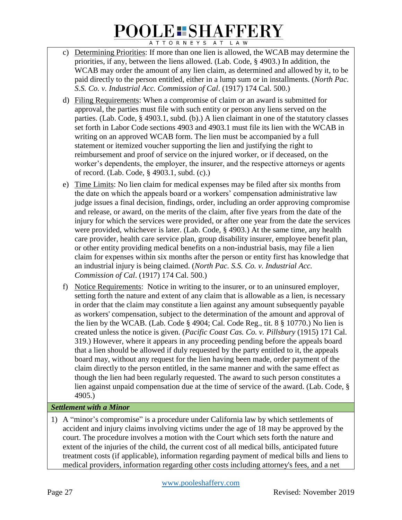- c) Determining Priorities: If more than one lien is allowed, the WCAB may determine the priorities, if any, between the liens allowed. (Lab. Code, § 4903.) In addition, the WCAB may order the amount of any lien claim, as determined and allowed by it, to be paid directly to the person entitled, either in a lump sum or in installments. (*North Pac. S.S. Co. v. Industrial Acc. Commission of Cal*. (1917) 174 Cal. 500.)
- d) Filing Requirements: When a compromise of claim or an award is submitted for approval, the parties must file with such entity or person any liens served on the parties. (Lab. Code, § 4903.1, subd. (b).) A lien claimant in one of the statutory classes set forth in Labor Code sections 4903 and 4903.1 must file its lien with the WCAB in writing on an approved WCAB form. The lien must be accompanied by a full statement or itemized voucher supporting the lien and justifying the right to reimbursement and proof of service on the injured worker, or if deceased, on the worker's dependents, the employer, the insurer, and the respective attorneys or agents of record. (Lab. Code, § 4903.1, subd. (c).)
- e) Time Limits: No lien claim for medical expenses may be filed after six months from the date on which the appeals board or a workers' compensation administrative law judge issues a final decision, findings, order, including an order approving compromise and release, or award, on the merits of the claim, after five years from the date of the injury for which the services were provided, or after one year from the date the services were provided, whichever is later. (Lab. Code, § 4903.) At the same time, any health care provider, health care service plan, group disability insurer, employee benefit plan, or other entity providing medical benefits on a non-industrial basis, may file a lien claim for expenses within six months after the person or entity first has knowledge that an industrial injury is being claimed. (*North Pac. S.S. Co. v. Industrial Acc. Commission of Cal*. (1917) 174 Cal. 500.)
- f) Notice Requirements: Notice in writing to the insurer, or to an uninsured employer, setting forth the nature and extent of any claim that is allowable as a lien, is necessary in order that the claim may constitute a lien against any amount subsequently payable as workers' compensation, subject to the determination of the amount and approval of the lien by the WCAB. (Lab. Code § 4904; Cal. Code Reg., tit. 8 § 10770.) No lien is created unless the notice is given. (*Pacific Coast Cas. Co. v. Pillsbury* (1915) 171 Cal. 319.) However, where it appears in any proceeding pending before the appeals board that a lien should be allowed if duly requested by the party entitled to it, the appeals board may, without any request for the lien having been made, order payment of the claim directly to the person entitled, in the same manner and with the same effect as though the lien had been regularly requested. The award to such person constitutes a lien against unpaid compensation due at the time of service of the award. (Lab. Code, § 4905.)

#### *Settlement with a Minor*

1) A "minor's compromise" is a procedure under California law by which settlements of accident and injury claims involving victims under the age of 18 may be approved by the court. The procedure involves a motion with the Court which sets forth the nature and extent of the injuries of the child, the current cost of all medical bills, anticipated future treatment costs (if applicable), information regarding payment of medical bills and liens to medical providers, information regarding other costs including attorney's fees, and a net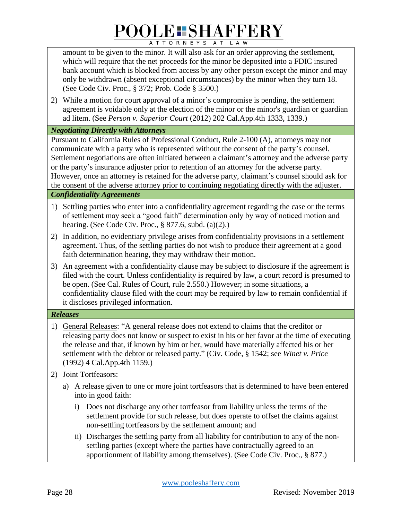amount to be given to the minor. It will also ask for an order approving the settlement, which will require that the net proceeds for the minor be deposited into a FDIC insured bank account which is blocked from access by any other person except the minor and may only be withdrawn (absent exceptional circumstances) by the minor when they turn 18. (See Code Civ. Proc., § 372; Prob. Code § 3500.)

2) While a motion for court approval of a minor's compromise is pending, the settlement agreement is voidable only at the election of the minor or the minor's guardian or guardian ad litem. (See *Person v. Superior Court* (2012) 202 Cal.App.4th 1333, 1339.)

#### *Negotiating Directly with Attorneys*

Pursuant to California Rules of Professional Conduct, Rule 2-100 (A), attorneys may not communicate with a party who is represented without the consent of the party's counsel. Settlement negotiations are often initiated between a claimant's attorney and the adverse party or the party's insurance adjuster prior to retention of an attorney for the adverse party. However, once an attorney is retained for the adverse party, claimant's counsel should ask for the consent of the adverse attorney prior to continuing negotiating directly with the adjuster.

#### *Confidentiality Agreements*

- 1) Settling parties who enter into a confidentiality agreement regarding the case or the terms of settlement may seek a "good faith" determination only by way of noticed motion and hearing. (See Code Civ. Proc., § 877.6, subd. (a)(2).)
- 2) In addition, no evidentiary privilege arises from confidentiality provisions in a settlement agreement. Thus, of the settling parties do not wish to produce their agreement at a good faith determination hearing, they may withdraw their motion.
- 3) An agreement with a confidentiality clause may be subject to disclosure if the agreement is filed with the court. Unless confidentiality is required by law, a court record is presumed to be open. (See Cal. Rules of Court, rule 2.550.) However; in some situations, a confidentiality clause filed with the court may be required by law to remain confidential if it discloses privileged information.

#### *Releases*

- 1) General Releases: "A general release does not extend to claims that the creditor or releasing party does not know or suspect to exist in his or her favor at the time of executing the release and that, if known by him or her, would have materially affected his or her settlement with the debtor or released party." (Civ. Code, § 1542; see *Winet v. Price* (1992) 4 Cal.App.4th 1159.)
- 2) Joint Tortfeasors:
	- a) A release given to one or more joint tortfeasors that is determined to have been entered into in good faith:
		- i) Does not discharge any other tortfeasor from liability unless the terms of the settlement provide for such release, but does operate to offset the claims against non-settling tortfeasors by the settlement amount; and
		- ii) Discharges the settling party from all liability for contribution to any of the nonsettling parties (except where the parties have contractually agreed to an apportionment of liability among themselves). (See Code Civ. Proc., § 877.)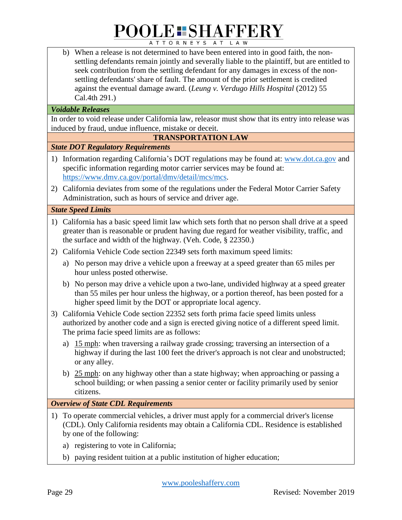b) When a release is not determined to have been entered into in good faith, the nonsettling defendants remain jointly and severally liable to the plaintiff, but are entitled to seek contribution from the settling defendant for any damages in excess of the nonsettling defendants' share of fault. The amount of the prior settlement is credited against the eventual damage award. (*Leung v. Verdugo Hills Hospital* (2012) 55 Cal.4th 291.)

#### *Voidable Releases*

In order to void release under California law, releasor must show that its entry into release was induced by fraud, undue influence, mistake or deceit.

#### **TRANSPORTATION LAW**

#### *State DOT Regulatory Requirements*

- 1) Information regarding California's DOT regulations may be found at: [www.dot.ca.gov](http://www.dot.ca.gov/) and specific information regarding motor carrier services may be found at: [https://www.dmv.ca.gov/portal/dmv/detail/mcs/mcs.](https://www.dmv.ca.gov/portal/dmv/detail/mcs/mcs)
- 2) California deviates from some of the regulations under the Federal Motor Carrier Safety Administration, such as hours of service and driver age.

#### *State Speed Limits*

- 1) California has a basic speed limit law which sets forth that no person shall drive at a speed greater than is reasonable or prudent having due regard for weather visibility, traffic, and the surface and width of the highway. (Veh. Code, § 22350.)
- 2) California Vehicle Code section 22349 sets forth maximum speed limits:
	- a) No person may drive a vehicle upon a freeway at a speed greater than 65 miles per hour unless posted otherwise.
	- b) No person may drive a vehicle upon a two-lane, undivided highway at a speed greater than 55 miles per hour unless the highway, or a portion thereof, has been posted for a higher speed limit by the DOT or appropriate local agency.
- 3) California Vehicle Code section 22352 sets forth prima facie speed limits unless authorized by another code and a sign is erected giving notice of a different speed limit. The prima facie speed limits are as follows:
	- a) 15 mph: when traversing a railway grade crossing; traversing an intersection of a highway if during the last 100 feet the driver's approach is not clear and unobstructed; or any alley.
	- b) 25 mph: on any highway other than a state highway; when approaching or passing a school building; or when passing a senior center or facility primarily used by senior citizens.

#### *Overview of State CDL Requirements*

- 1) To operate commercial vehicles, a driver must apply for a commercial driver's license (CDL). Only California residents may obtain a California CDL. Residence is established by one of the following:
	- a) registering to vote in California;
	- b) paying resident tuition at a public institution of higher education;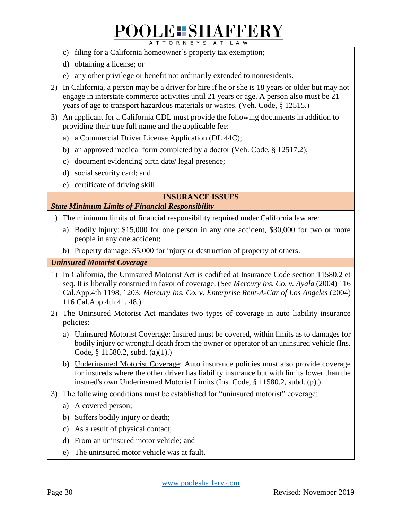## **POOLE: SHAFFERY**

ATTORNEYS AT LAW

- c) filing for a California homeowner's property tax exemption;
- d) obtaining a license; or
- e) any other privilege or benefit not ordinarily extended to nonresidents.
- 2) In California, a person may be a driver for hire if he or she is 18 years or older but may not engage in interstate commerce activities until 21 years or age. A person also must be 21 years of age to transport hazardous materials or wastes. (Veh. Code, § 12515.)
- 3) An applicant for a California CDL must provide the following documents in addition to providing their true full name and the applicable fee:
	- a) a Commercial Driver License Application (DL 44C);
	- b) an approved medical form completed by a doctor (Veh. Code, § 12517.2);
	- c) document evidencing birth date/ legal presence;
	- d) social security card; and
	- e) certificate of driving skill.

#### **INSURANCE ISSUES**

#### *State Minimum Limits of Financial Responsibility*

- 1) The minimum limits of financial responsibility required under California law are:
	- a) Bodily Injury: \$15,000 for one person in any one accident, \$30,000 for two or more people in any one accident;
	- b) Property damage: \$5,000 for injury or destruction of property of others.

*Uninsured Motorist Coverage*

- 1) In California, the Uninsured Motorist Act is codified at Insurance Code section 11580.2 et seq. It is liberally construed in favor of coverage. (See *Mercury Ins. Co. v. Ayala* (2004) 116 Cal.App.4th 1198, 1203; *Mercury Ins. Co. v. Enterprise Rent-A-Car of Los Angeles* (2004) 116 Cal.App.4th 41, 48.)
- 2) The Uninsured Motorist Act mandates two types of coverage in auto liability insurance policies:
	- a) Uninsured Motorist Coverage: Insured must be covered, within limits as to damages for bodily injury or wrongful death from the owner or operator of an uninsured vehicle (Ins. Code, § 11580.2, subd. (a)(1).)
	- b) Underinsured Motorist Coverage: Auto insurance policies must also provide coverage for insureds where the other driver has liability insurance but with limits lower than the insured's own Underinsured Motorist Limits (Ins. Code, § 11580.2, subd. (p).)
- 3) The following conditions must be established for "uninsured motorist" coverage:
	- a) A covered person;
	- b) Suffers bodily injury or death;
	- c) As a result of physical contact;
	- d) From an uninsured motor vehicle; and
	- e) The uninsured motor vehicle was at fault.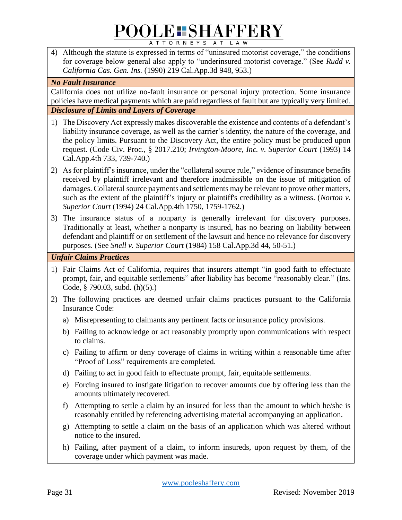4) Although the statute is expressed in terms of "uninsured motorist coverage," the conditions for coverage below general also apply to "underinsured motorist coverage." (See *Rudd v. California Cas. Gen. Ins.* (1990) 219 Cal.App.3d 948, 953.)

#### *No Fault Insurance*

California does not utilize no-fault insurance or personal injury protection. Some insurance policies have medical payments which are paid regardless of fault but are typically very limited. *Disclosure of Limits and Layers of Coverage*

- 1) The Discovery Act expressly makes discoverable the existence and contents of a defendant's liability insurance coverage, as well as the carrier's identity, the nature of the coverage, and the policy limits. Pursuant to the Discovery Act, the entire policy must be produced upon request. (Code Civ. Proc., § 2017.210; *Irvington-Moore, Inc. v. Superior Court* (1993) 14 Cal.App.4th 733, 739-740.)
- 2) As for plaintiff's insurance, under the "collateral source rule," evidence of insurance benefits received by plaintiff irrelevant and therefore inadmissible on the issue of mitigation of damages. Collateral source payments and settlements may be relevant to prove other matters, such as the extent of the plaintiff's injury or plaintiff's credibility as a witness. (*Norton v. Superior Court* (1994) 24 Cal.App.4th 1750, 1759-1762.)
- 3) The insurance status of a nonparty is generally irrelevant for discovery purposes. Traditionally at least, whether a nonparty is insured, has no bearing on liability between defendant and plaintiff or on settlement of the lawsuit and hence no relevance for discovery purposes. (See *Snell v. Superior Court* (1984) 158 Cal.App.3d 44, 50-51.)

*Unfair Claims Practices*

- 1) Fair Claims Act of California, requires that insurers attempt "in good faith to effectuate prompt, fair, and equitable settlements" after liability has become "reasonably clear." (Ins. Code, § 790.03, subd. (h)(5).)
- 2) The following practices are deemed unfair claims practices pursuant to the California Insurance Code:
	- a) Misrepresenting to claimants any pertinent facts or insurance policy provisions.
	- b) Failing to acknowledge or act reasonably promptly upon communications with respect to claims.
	- c) Failing to affirm or deny coverage of claims in writing within a reasonable time after "Proof of Loss" requirements are completed.
	- d) Failing to act in good faith to effectuate prompt, fair, equitable settlements.
	- e) Forcing insured to instigate litigation to recover amounts due by offering less than the amounts ultimately recovered.
	- f) Attempting to settle a claim by an insured for less than the amount to which he/she is reasonably entitled by referencing advertising material accompanying an application.
	- g) Attempting to settle a claim on the basis of an application which was altered without notice to the insured.
	- h) Failing, after payment of a claim, to inform insureds, upon request by them, of the coverage under which payment was made.